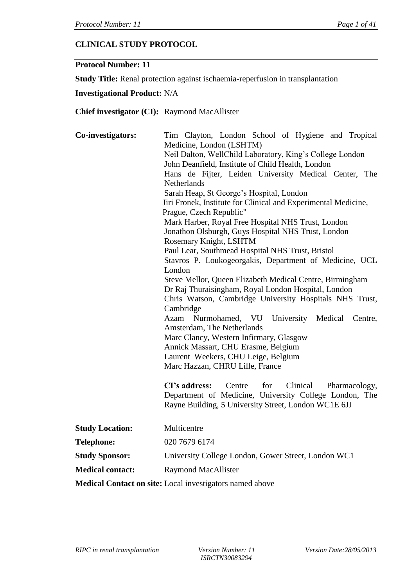# **CLINICAL STUDY PROTOCOL**

#### **Protocol Number: 11**

**Study Title:** Renal protection against ischaemia-reperfusion in transplantation

### **Investigational Product:** N/A

### **Chief investigator (CI):** Raymond MacAllister

| Co-investigators:                           | Tim Clayton, London School of Hygiene and Tropical<br>Medicine, London (LSHTM)<br>Neil Dalton, WellChild Laboratory, King's College London<br>John Deanfield, Institute of Child Health, London<br>Hans de Fijter, Leiden University Medical Center, The<br><b>Netherlands</b><br>Sarah Heap, St George's Hospital, London<br>Jiri Fronek, Institute for Clinical and Experimental Medicine,<br>Prague, Czech Republic"<br>Mark Harber, Royal Free Hospital NHS Trust, London<br>Jonathon Olsburgh, Guys Hospital NHS Trust, London<br>Rosemary Knight, LSHTM<br>Paul Lear, Southmead Hospital NHS Trust, Bristol<br>Stavros P. Loukogeorgakis, Department of Medicine, UCL<br>London<br>Steve Mellor, Queen Elizabeth Medical Centre, Birmingham<br>Dr Raj Thuraisingham, Royal London Hospital, London<br>Chris Watson, Cambridge University Hospitals NHS Trust,<br>Cambridge<br>Nurmohamed, VU University<br>Azam<br>Medical<br>Centre,<br>Amsterdam, The Netherlands<br>Marc Clancy, Western Infirmary, Glasgow<br>Annick Massart, CHU Erasme, Belgium<br>Laurent Weekers, CHU Leige, Belgium<br>Marc Hazzan, CHRU Lille, France<br>CI's address:<br>for<br>Clinical<br>Centre<br>Pharmacology,<br>Department of Medicine, University College London, The<br>Rayne Building, 5 University Street, London WC1E 6JJ |  |  |  |  |  |  |  |  |
|---------------------------------------------|------------------------------------------------------------------------------------------------------------------------------------------------------------------------------------------------------------------------------------------------------------------------------------------------------------------------------------------------------------------------------------------------------------------------------------------------------------------------------------------------------------------------------------------------------------------------------------------------------------------------------------------------------------------------------------------------------------------------------------------------------------------------------------------------------------------------------------------------------------------------------------------------------------------------------------------------------------------------------------------------------------------------------------------------------------------------------------------------------------------------------------------------------------------------------------------------------------------------------------------------------------------------------------------------------------------------|--|--|--|--|--|--|--|--|
| <b>Study Location:</b><br><b>Telephone:</b> | Multicentre<br>020 7679 6174                                                                                                                                                                                                                                                                                                                                                                                                                                                                                                                                                                                                                                                                                                                                                                                                                                                                                                                                                                                                                                                                                                                                                                                                                                                                                           |  |  |  |  |  |  |  |  |
| <b>Study Sponsor:</b>                       | University College London, Gower Street, London WC1                                                                                                                                                                                                                                                                                                                                                                                                                                                                                                                                                                                                                                                                                                                                                                                                                                                                                                                                                                                                                                                                                                                                                                                                                                                                    |  |  |  |  |  |  |  |  |
|                                             |                                                                                                                                                                                                                                                                                                                                                                                                                                                                                                                                                                                                                                                                                                                                                                                                                                                                                                                                                                                                                                                                                                                                                                                                                                                                                                                        |  |  |  |  |  |  |  |  |

**Medical contact:** Raymond MacAllister

**Medical Contact on site:** Local investigators named above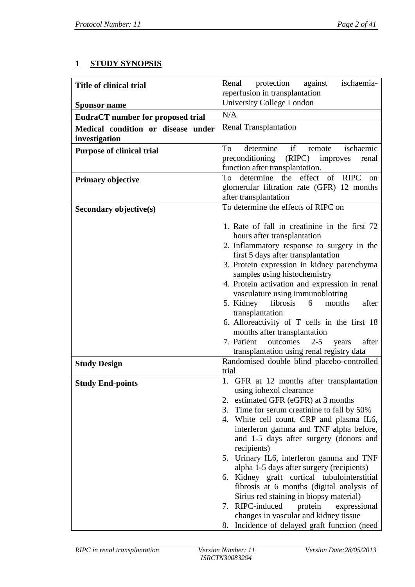# **1 STUDY SYNOPSIS**

| <b>Title of clinical trial</b>                      | against<br>Renal<br>protection<br>ischaemia-                                            |
|-----------------------------------------------------|-----------------------------------------------------------------------------------------|
|                                                     | reperfusion in transplantation                                                          |
| <b>Sponsor name</b>                                 | University College London                                                               |
| <b>EudraCT</b> number for proposed trial            | N/A                                                                                     |
| Medical condition or disease under<br>investigation | <b>Renal Transplantation</b>                                                            |
| <b>Purpose of clinical trial</b>                    | if<br>determine<br>To<br>ischaemic<br>remote                                            |
|                                                     | preconditioning (RIPC)<br>improves<br>renal                                             |
|                                                     | function after transplantation.                                                         |
| <b>Primary objective</b>                            | effect<br>determine<br>the<br>of RIPC<br>To<br><sub>on</sub>                            |
|                                                     | glomerular filtration rate (GFR) 12 months                                              |
|                                                     | after transplantation<br>To determine the effects of RIPC on                            |
| Secondary objective(s)                              |                                                                                         |
|                                                     | 1. Rate of fall in creatinine in the first 72                                           |
|                                                     | hours after transplantation                                                             |
|                                                     | 2. Inflammatory response to surgery in the<br>first 5 days after transplantation        |
|                                                     | 3. Protein expression in kidney parenchyma                                              |
|                                                     | samples using histochemistry                                                            |
|                                                     | 4. Protein activation and expression in renal                                           |
|                                                     | vasculature using immunoblotting                                                        |
|                                                     | fibrosis<br>after<br>5. Kidney<br>6<br>months                                           |
|                                                     | transplantation                                                                         |
|                                                     | 6. Alloreactivity of T cells in the first 18                                            |
|                                                     | months after transplantation                                                            |
|                                                     | 7. Patient<br>outcomes<br>$2 - 5$<br>after<br>years                                     |
|                                                     | transplantation using renal registry data<br>Randomised double blind placebo-controlled |
| <b>Study Design</b>                                 | trial                                                                                   |
| <b>Study End-points</b>                             | 1. GFR at 12 months after transplantation                                               |
|                                                     | using iohexol clearance                                                                 |
|                                                     | 2. estimated GFR (eGFR) at 3 months                                                     |
|                                                     | 3. Time for serum creatinine to fall by 50%                                             |
|                                                     | 4. White cell count, CRP and plasma IL6,                                                |
|                                                     | interferon gamma and TNF alpha before,                                                  |
|                                                     | and 1-5 days after surgery (donors and                                                  |
|                                                     | recipients)                                                                             |
|                                                     | 5. Urinary IL6, interferon gamma and TNF<br>alpha 1-5 days after surgery (recipients)   |
|                                                     | 6. Kidney graft cortical tubulointerstitial                                             |
|                                                     | fibrosis at 6 months (digital analysis of                                               |
|                                                     | Sirius red staining in biopsy material)                                                 |
|                                                     | 7. RIPC-induced<br>protein<br>expressional                                              |
|                                                     | changes in vascular and kidney tissue                                                   |
|                                                     | 8. Incidence of delayed graft function (need                                            |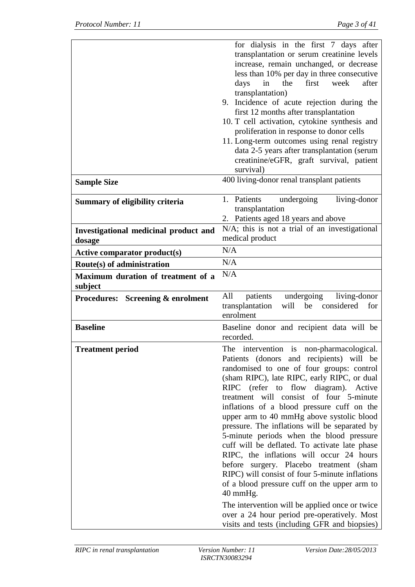|                                                 | for dialysis in the first 7 days after<br>transplantation or serum creatinine levels<br>increase, remain unchanged, or decrease<br>less than 10% per day in three consecutive<br>days<br>in<br>the<br>first<br>week<br>after<br>transplantation)<br>9. Incidence of acute rejection during the<br>first 12 months after transplantation<br>10. T cell activation, cytokine synthesis and<br>proliferation in response to donor cells<br>11. Long-term outcomes using renal registry<br>data 2-5 years after transplantation (serum<br>creatinine/eGFR, graft survival, patient<br>survival)                                                                                                                                                                                                                                                                         |
|-------------------------------------------------|---------------------------------------------------------------------------------------------------------------------------------------------------------------------------------------------------------------------------------------------------------------------------------------------------------------------------------------------------------------------------------------------------------------------------------------------------------------------------------------------------------------------------------------------------------------------------------------------------------------------------------------------------------------------------------------------------------------------------------------------------------------------------------------------------------------------------------------------------------------------|
| <b>Sample Size</b>                              | 400 living-donor renal transplant patients                                                                                                                                                                                                                                                                                                                                                                                                                                                                                                                                                                                                                                                                                                                                                                                                                          |
| <b>Summary of eligibility criteria</b>          | 1. Patients<br>living-donor<br>undergoing<br>transplantation<br>2. Patients aged 18 years and above                                                                                                                                                                                                                                                                                                                                                                                                                                                                                                                                                                                                                                                                                                                                                                 |
| Investigational medicinal product and<br>dosage | N/A; this is not a trial of an investigational<br>medical product                                                                                                                                                                                                                                                                                                                                                                                                                                                                                                                                                                                                                                                                                                                                                                                                   |
| <b>Active comparator product(s)</b>             | N/A                                                                                                                                                                                                                                                                                                                                                                                                                                                                                                                                                                                                                                                                                                                                                                                                                                                                 |
| Route(s) of administration                      | N/A                                                                                                                                                                                                                                                                                                                                                                                                                                                                                                                                                                                                                                                                                                                                                                                                                                                                 |
| Maximum duration of treatment of a<br>subject   | N/A                                                                                                                                                                                                                                                                                                                                                                                                                                                                                                                                                                                                                                                                                                                                                                                                                                                                 |
| <b>Procedures:</b> Screening & enrolment        | patients undergoing<br>living-donor<br>All<br>transplantation<br>will<br>considered<br>be<br>for<br>enrolment                                                                                                                                                                                                                                                                                                                                                                                                                                                                                                                                                                                                                                                                                                                                                       |
| <b>Baseline</b>                                 | Baseline donor and recipient data will be<br>recorded.                                                                                                                                                                                                                                                                                                                                                                                                                                                                                                                                                                                                                                                                                                                                                                                                              |
| <b>Treatment period</b>                         | The intervention is non-pharmacological.<br>Patients (donors and recipients) will be<br>randomised to one of four groups: control<br>(sham RIPC), late RIPC, early RIPC, or dual<br>RIPC (refer to flow diagram). Active<br>treatment will consist of four 5-minute<br>inflations of a blood pressure cuff on the<br>upper arm to 40 mmHg above systolic blood<br>pressure. The inflations will be separated by<br>5-minute periods when the blood pressure<br>cuff will be deflated. To activate late phase<br>RIPC, the inflations will occur 24 hours<br>before surgery. Placebo treatment (sham<br>RIPC) will consist of four 5-minute inflations<br>of a blood pressure cuff on the upper arm to<br>40 mmHg.<br>The intervention will be applied once or twice<br>over a 24 hour period pre-operatively. Most<br>visits and tests (including GFR and biopsies) |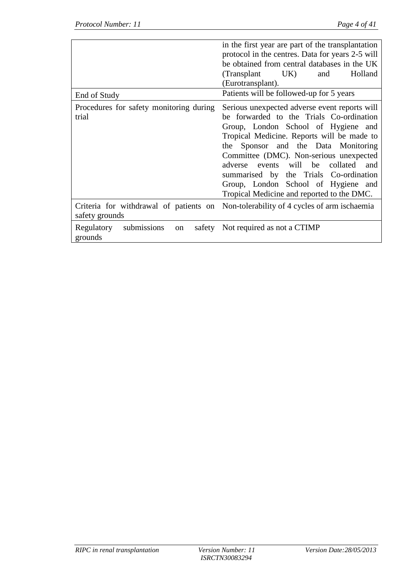|                                                  | in the first year are part of the transplantation<br>protocol in the centres. Data for years 2-5 will<br>be obtained from central databases in the UK<br>(Transplant UK)<br>Holland<br>and<br>(Eurotransplant).                                                                                                                                                                                                                                 |
|--------------------------------------------------|-------------------------------------------------------------------------------------------------------------------------------------------------------------------------------------------------------------------------------------------------------------------------------------------------------------------------------------------------------------------------------------------------------------------------------------------------|
| End of Study                                     | Patients will be followed-up for 5 years                                                                                                                                                                                                                                                                                                                                                                                                        |
| Procedures for safety monitoring during<br>trial | Serious unexpected adverse event reports will<br>be forwarded to the Trials Co-ordination<br>Group, London School of Hygiene and<br>Tropical Medicine. Reports will be made to<br>the Sponsor and the Data Monitoring<br>Committee (DMC). Non-serious unexpected<br>events will be<br>collated<br>adverse<br>and<br>summarised by the Trials Co-ordination<br>Group, London School of Hygiene and<br>Tropical Medicine and reported to the DMC. |
| safety grounds                                   | Criteria for withdrawal of patients on Non-tolerability of 4 cycles of arm ischaemia                                                                                                                                                                                                                                                                                                                                                            |
| submissions<br>Regulatory<br>on<br>grounds       | safety Not required as not a CTIMP                                                                                                                                                                                                                                                                                                                                                                                                              |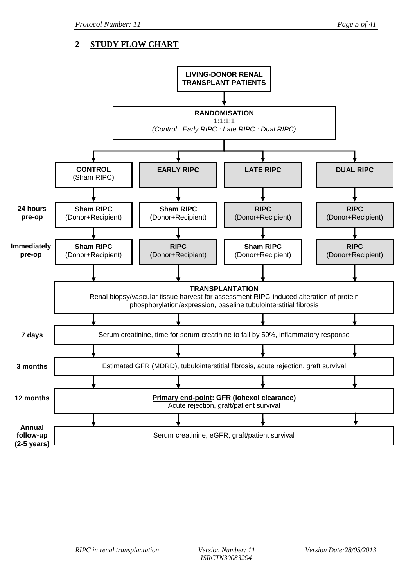# **2 STUDY FLOW CHART**

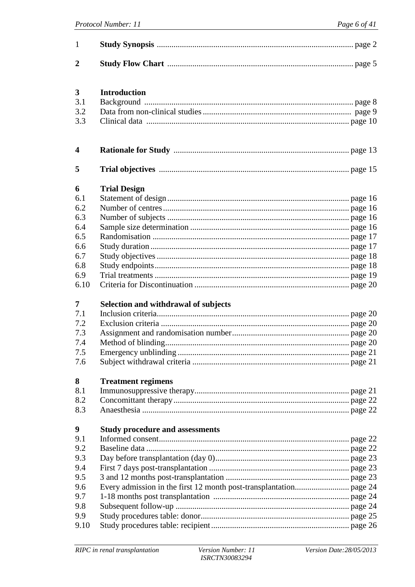| $\mathbf{1}$   |                                        |
|----------------|----------------------------------------|
| $\overline{2}$ |                                        |
|                |                                        |
| 3              | <b>Introduction</b>                    |
| 3.1            |                                        |
| 3.2            |                                        |
| 3.3            |                                        |
| 4              |                                        |
| 5              |                                        |
| 6              | <b>Trial Design</b>                    |
| 6.1            |                                        |
| 6.2            |                                        |
| 6.3            |                                        |
| 6.4            |                                        |
| 6.5            |                                        |
| 6.6            |                                        |
| 6.7            |                                        |
| 6.8            |                                        |
| 6.9            |                                        |
| 6.10           |                                        |
| $\overline{7}$ |                                        |
| 7.1            | Selection and withdrawal of subjects   |
| 7.2            |                                        |
| 7.3            |                                        |
| 7.4            |                                        |
| 7.5            |                                        |
| 7.6            |                                        |
|                |                                        |
| 8              | <b>Treatment regimens</b>              |
| 8.1            |                                        |
| 8.2            |                                        |
| 8.3            |                                        |
| 9              | <b>Study procedure and assessments</b> |
| 9.1            |                                        |
| 9.2            |                                        |
| 9.3            |                                        |
| 9.4            |                                        |
| 9.5            |                                        |
| 9.6            |                                        |
| 9.7            |                                        |
| 9.8            |                                        |
| 9.9            |                                        |
| 9.10           |                                        |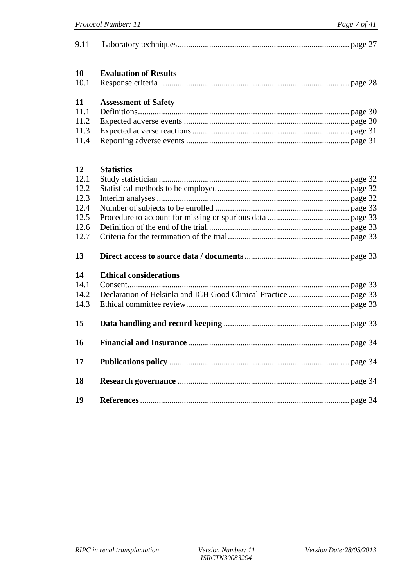| 9.11       |                               |
|------------|-------------------------------|
| 10<br>10.1 | <b>Evaluation of Results</b>  |
| 11         | <b>Assessment of Safety</b>   |
| 11.1       |                               |
| 11.2       |                               |
| 11.3       |                               |
| 11.4       |                               |
| 12         | <b>Statistics</b>             |
| 12.1       |                               |
| 12.2       |                               |
| 12.3       |                               |
| 12.4       |                               |
| 12.5       |                               |
| 12.6       |                               |
| 12.7       |                               |
| 13         |                               |
| 14         | <b>Ethical considerations</b> |
| 14.1       |                               |
| 14.2       |                               |
| 14.3       |                               |
| 15         |                               |
| 16         |                               |
| 17         |                               |
| 18         |                               |
| 19         |                               |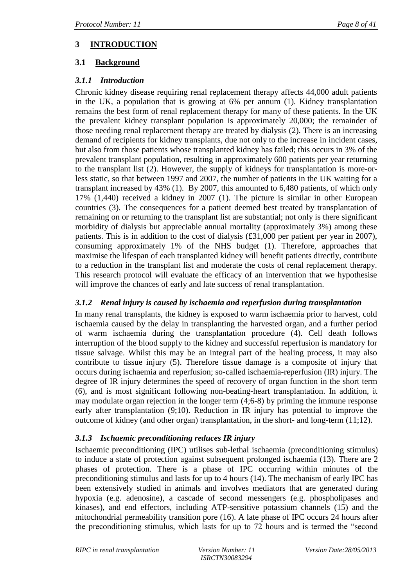# **3 INTRODUCTION**

# **3.1 Background**

# *3.1.1 Introduction*

Chronic kidney disease requiring renal replacement therapy affects 44,000 adult patients in the UK, a population that is growing at 6% per annum (1). Kidney transplantation remains the best form of renal replacement therapy for many of these patients. In the UK the prevalent kidney transplant population is approximately 20,000; the remainder of those needing renal replacement therapy are treated by dialysis (2). There is an increasing demand of recipients for kidney transplants, due not only to the increase in incident cases, but also from those patients whose transplanted kidney has failed; this occurs in 3% of the prevalent transplant population, resulting in approximately 600 patients per year returning to the transplant list (2). However, the supply of kidneys for transplantation is more-orless static, so that between 1997 and 2007, the number of patients in the UK waiting for a transplant increased by 43% (1). By 2007, this amounted to 6,480 patients, of which only 17% (1,440) received a kidney in 2007 (1). The picture is similar in other European countries (3). The consequences for a patient deemed best treated by transplantation of remaining on or returning to the transplant list are substantial; not only is there significant morbidity of dialysis but appreciable annual mortality (approximately 3%) among these patients. This is in addition to the cost of dialysis (£31,000 per patient per year in 2007), consuming approximately 1% of the NHS budget (1). Therefore, approaches that maximise the lifespan of each transplanted kidney will benefit patients directly, contribute to a reduction in the transplant list and moderate the costs of renal replacement therapy. This research protocol will evaluate the efficacy of an intervention that we hypothesise will improve the chances of early and late success of renal transplantation.

## *3.1.2 Renal injury is caused by ischaemia and reperfusion during transplantation*

In many renal transplants, the kidney is exposed to warm ischaemia prior to harvest, cold ischaemia caused by the delay in transplanting the harvested organ, and a further period of warm ischaemia during the transplantation procedure (4). Cell death follows interruption of the blood supply to the kidney and successful reperfusion is mandatory for tissue salvage. Whilst this may be an integral part of the healing process, it may also contribute to tissue injury (5). Therefore tissue damage is a composite of injury that occurs during ischaemia and reperfusion; so-called ischaemia-reperfusion (IR) injury. The degree of IR injury determines the speed of recovery of organ function in the short term (6), and is most significant following non-beating-heart transplantation. In addition, it may modulate organ rejection in the longer term (4;6-8) by priming the immune response early after transplantation (9;10). Reduction in IR injury has potential to improve the outcome of kidney (and other organ) transplantation, in the short- and long-term (11;12).

# *3.1.3 Ischaemic preconditioning reduces IR injury*

Ischaemic preconditioning (IPC) utilises sub-lethal ischaemia (preconditioning stimulus) to induce a state of protection against subsequent prolonged ischaemia (13). There are 2 phases of protection. There is a phase of IPC occurring within minutes of the preconditioning stimulus and lasts for up to 4 hours (14). The mechanism of early IPC has been extensively studied in animals and involves mediators that are generated during hypoxia (e.g. adenosine), a cascade of second messengers (e.g. phospholipases and kinases), and end effectors, including ATP-sensitive potassium channels (15) and the mitochondrial permeability transition pore (16). A late phase of IPC occurs 24 hours after the preconditioning stimulus, which lasts for up to 72 hours and is termed the "second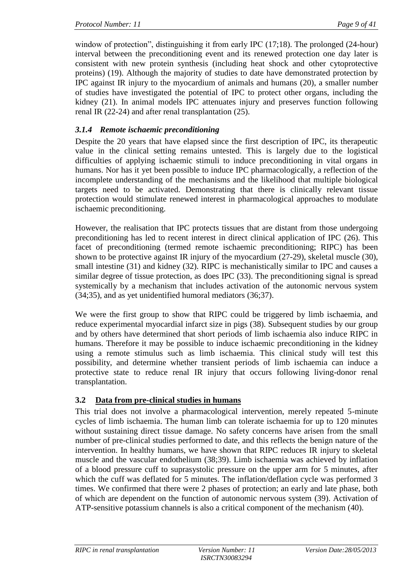window of protection", distinguishing it from early IPC (17;18). The prolonged (24-hour) interval between the preconditioning event and its renewed protection one day later is consistent with new protein synthesis (including heat shock and other cytoprotective proteins) (19). Although the majority of studies to date have demonstrated protection by IPC against IR injury to the myocardium of animals and humans (20), a smaller number of studies have investigated the potential of IPC to protect other organs, including the kidney (21). In animal models IPC attenuates injury and preserves function following renal IR (22-24) and after renal transplantation (25).

# *3.1.4 Remote ischaemic preconditioning*

Despite the 20 years that have elapsed since the first description of IPC, its therapeutic value in the clinical setting remains untested. This is largely due to the logistical difficulties of applying ischaemic stimuli to induce preconditioning in vital organs in humans. Nor has it yet been possible to induce IPC pharmacologically, a reflection of the incomplete understanding of the mechanisms and the likelihood that multiple biological targets need to be activated. Demonstrating that there is clinically relevant tissue protection would stimulate renewed interest in pharmacological approaches to modulate ischaemic preconditioning.

However, the realisation that IPC protects tissues that are distant from those undergoing preconditioning has led to recent interest in direct clinical application of IPC (26). This facet of preconditioning (termed remote ischaemic preconditioning; RIPC) has been shown to be protective against IR injury of the myocardium (27-29), skeletal muscle (30), small intestine (31) and kidney (32). RIPC is mechanistically similar to IPC and causes a similar degree of tissue protection, as does IPC (33). The preconditioning signal is spread systemically by a mechanism that includes activation of the autonomic nervous system (34;35), and as yet unidentified humoral mediators (36;37).

We were the first group to show that RIPC could be triggered by limb ischaemia, and reduce experimental myocardial infarct size in pigs (38). Subsequent studies by our group and by others have determined that short periods of limb ischaemia also induce RIPC in humans. Therefore it may be possible to induce ischaemic preconditioning in the kidney using a remote stimulus such as limb ischaemia. This clinical study will test this possibility, and determine whether transient periods of limb ischaemia can induce a protective state to reduce renal IR injury that occurs following living-donor renal transplantation.

## **3.2 Data from pre-clinical studies in humans**

This trial does not involve a pharmacological intervention, merely repeated 5-minute cycles of limb ischaemia. The human limb can tolerate ischaemia for up to 120 minutes without sustaining direct tissue damage. No safety concerns have arisen from the small number of pre-clinical studies performed to date, and this reflects the benign nature of the intervention. In healthy humans, we have shown that RIPC reduces IR injury to skeletal muscle and the vascular endothelium (38;39). Limb ischaemia was achieved by inflation of a blood pressure cuff to suprasystolic pressure on the upper arm for 5 minutes, after which the cuff was deflated for 5 minutes. The inflation/deflation cycle was performed 3 times. We confirmed that there were 2 phases of protection; an early and late phase, both of which are dependent on the function of autonomic nervous system (39). Activation of ATP-sensitive potassium channels is also a critical component of the mechanism (40).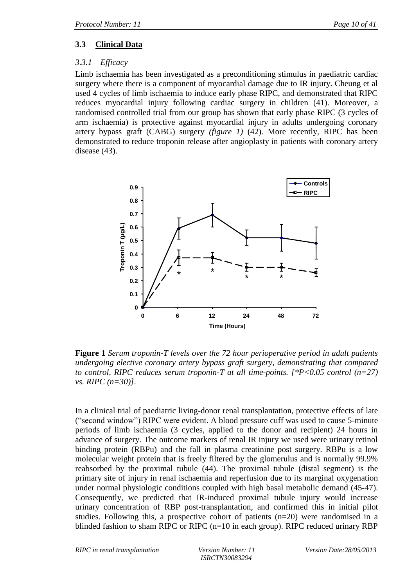# **3.3 Clinical Data**

# *3.3.1 Efficacy*

Limb ischaemia has been investigated as a preconditioning stimulus in paediatric cardiac surgery where there is a component of myocardial damage due to IR injury. Cheung et al used 4 cycles of limb ischaemia to induce early phase RIPC, and demonstrated that RIPC reduces myocardial injury following cardiac surgery in children (41). Moreover, a randomised controlled trial from our group has shown that early phase RIPC (3 cycles of arm ischaemia) is protective against myocardial injury in adults undergoing coronary artery bypass graft (CABG) surgery *(figure 1)* (42). More recently, RIPC has been demonstrated to reduce troponin release after angioplasty in patients with coronary artery disease (43).



**Figure 1** *Serum troponin-T levels over the 72 hour perioperative period in adult patients undergoing elective coronary artery bypass graft surgery, demonstrating that compared to control, RIPC reduces serum troponin-T at all time-points. [\*P<0.05 control (n=27) vs. RIPC (n=30)].*

In a clinical trial of paediatric living-donor renal transplantation, protective effects of late ("second window") RIPC were evident. A blood pressure cuff was used to cause 5-minute periods of limb ischaemia (3 cycles, applied to the donor and recipient) 24 hours in advance of surgery. The outcome markers of renal IR injury we used were urinary retinol binding protein (RBPu) and the fall in plasma creatinine post surgery. RBPu is a low molecular weight protein that is freely filtered by the glomerulus and is normally 99.9% reabsorbed by the proximal tubule (44). The proximal tubule (distal segment) is the primary site of injury in renal ischaemia and reperfusion due to its marginal oxygenation under normal physiologic conditions coupled with high basal metabolic demand (45-47). Consequently, we predicted that IR-induced proximal tubule injury would increase urinary concentration of RBP post-transplantation, and confirmed this in initial pilot studies. Following this, a prospective cohort of patients (n=20) were randomised in a blinded fashion to sham RIPC or RIPC  $(n=10$  in each group). RIPC reduced urinary RBP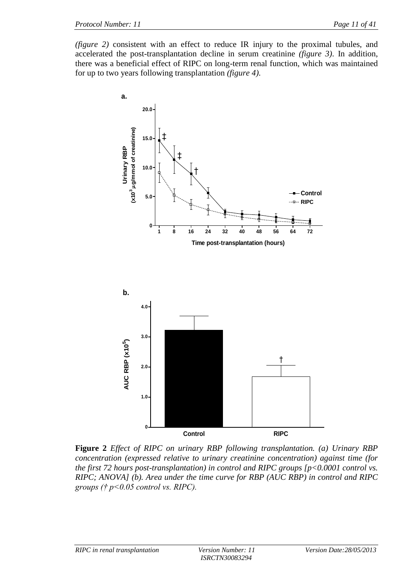*(figure 2)* consistent with an effect to reduce IR injury to the proximal tubules, and accelerated the post-transplantation decline in serum creatinine *(figure 3)*. In addition, there was a beneficial effect of RIPC on long-term renal function, which was maintained for up to two years following transplantation *(figure 4)*.



**Figure 2** *Effect of RIPC on urinary RBP following transplantation. (a) Urinary RBP concentration (expressed relative to urinary creatinine concentration) against time (for the first 72 hours post-transplantation) in control and RIPC groups [p<0.0001 control vs. RIPC; ANOVA] (b). Area under the time curve for RBP (AUC RBP) in control and RIPC groups († p<0.05 control vs. RIPC).*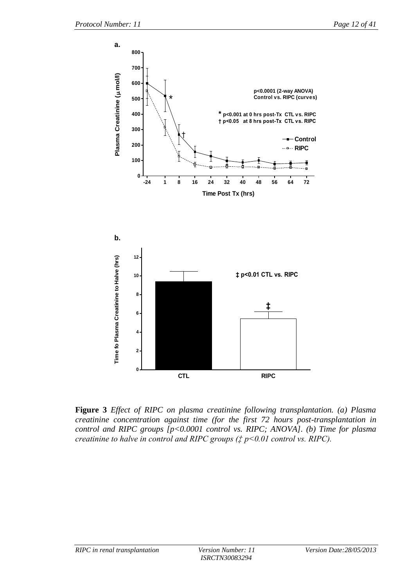

**Figure 3** *Effect of RIPC on plasma creatinine following transplantation. (a) Plasma creatinine concentration against time (for the first 72 hours post-transplantation in control and RIPC groups [p<0.0001 control vs. RIPC; ANOVA]. (b) Time for plasma creatinine to halve in control and RIPC groups (‡ p<0.01 control vs. RIPC).*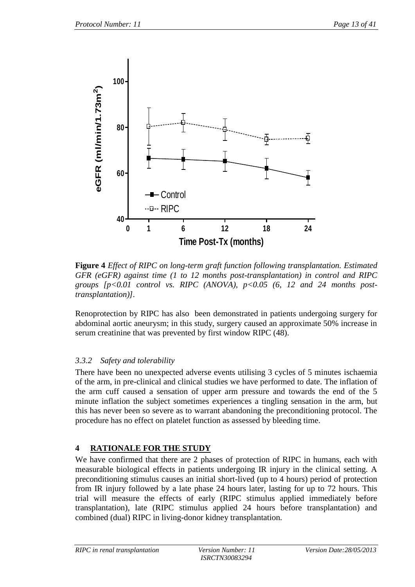

**Figure 4** *Effect of RIPC on long-term graft function following transplantation. Estimated GFR (eGFR) against time (1 to 12 months post-transplantation) in control and RIPC groups [p<0.01 control vs. RIPC (ANOVA), p<0.05 (6, 12 and 24 months posttransplantation)].* 

Renoprotection by RIPC has also been demonstrated in patients undergoing surgery for abdominal aortic aneurysm; in this study, surgery caused an approximate 50% increase in serum creatinine that was prevented by first window RIPC (48).

## *3.3.2 Safety and tolerability*

There have been no unexpected adverse events utilising 3 cycles of 5 minutes ischaemia of the arm, in pre-clinical and clinical studies we have performed to date. The inflation of the arm cuff caused a sensation of upper arm pressure and towards the end of the 5 minute inflation the subject sometimes experiences a tingling sensation in the arm, but this has never been so severe as to warrant abandoning the preconditioning protocol. The procedure has no effect on platelet function as assessed by bleeding time.

## **4 RATIONALE FOR THE STUDY**

We have confirmed that there are 2 phases of protection of RIPC in humans, each with measurable biological effects in patients undergoing IR injury in the clinical setting. A preconditioning stimulus causes an initial short-lived (up to 4 hours) period of protection from IR injury followed by a late phase 24 hours later, lasting for up to 72 hours. This trial will measure the effects of early (RIPC stimulus applied immediately before transplantation), late (RIPC stimulus applied 24 hours before transplantation) and combined (dual) RIPC in living-donor kidney transplantation.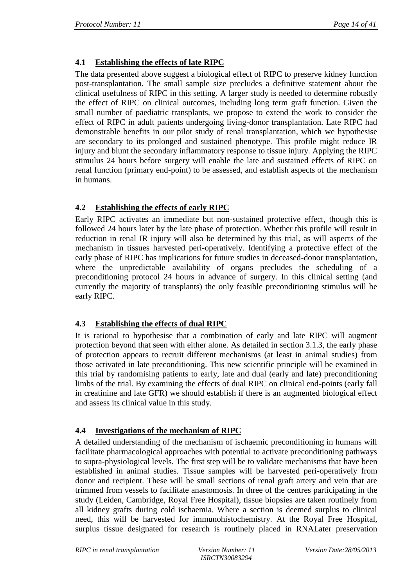# **4.1 Establishing the effects of late RIPC**

The data presented above suggest a biological effect of RIPC to preserve kidney function post-transplantation. The small sample size precludes a definitive statement about the clinical usefulness of RIPC in this setting. A larger study is needed to determine robustly the effect of RIPC on clinical outcomes, including long term graft function. Given the small number of paediatric transplants, we propose to extend the work to consider the effect of RIPC in adult patients undergoing living-donor transplantation. Late RIPC had demonstrable benefits in our pilot study of renal transplantation, which we hypothesise are secondary to its prolonged and sustained phenotype. This profile might reduce IR injury and blunt the secondary inflammatory response to tissue injury. Applying the RIPC stimulus 24 hours before surgery will enable the late and sustained effects of RIPC on renal function (primary end-point) to be assessed, and establish aspects of the mechanism in humans.

# **4.2 Establishing the effects of early RIPC**

Early RIPC activates an immediate but non-sustained protective effect, though this is followed 24 hours later by the late phase of protection. Whether this profile will result in reduction in renal IR injury will also be determined by this trial, as will aspects of the mechanism in tissues harvested peri-operatively. Identifying a protective effect of the early phase of RIPC has implications for future studies in deceased-donor transplantation, where the unpredictable availability of organs precludes the scheduling of a preconditioning protocol 24 hours in advance of surgery. In this clinical setting (and currently the majority of transplants) the only feasible preconditioning stimulus will be early RIPC.

## **4.3 Establishing the effects of dual RIPC**

It is rational to hypothesise that a combination of early and late RIPC will augment protection beyond that seen with either alone. As detailed in section 3.1.3, the early phase of protection appears to recruit different mechanisms (at least in animal studies) from those activated in late preconditioning. This new scientific principle will be examined in this trial by randomising patients to early, late and dual (early and late) preconditioning limbs of the trial. By examining the effects of dual RIPC on clinical end-points (early fall in creatinine and late GFR) we should establish if there is an augmented biological effect and assess its clinical value in this study.

# **4.4 Investigations of the mechanism of RIPC**

A detailed understanding of the mechanism of ischaemic preconditioning in humans will facilitate pharmacological approaches with potential to activate preconditioning pathways to supra-physiological levels. The first step will be to validate mechanisms that have been established in animal studies. Tissue samples will be harvested peri-operatively from donor and recipient. These will be small sections of renal graft artery and vein that are trimmed from vessels to facilitate anastomosis. In three of the centres participating in the study (Leiden, Cambridge, Royal Free Hospital), tissue biopsies are taken routinely from all kidney grafts during cold ischaemia. Where a section is deemed surplus to clinical need, this will be harvested for immunohistochemistry. At the Royal Free Hospital, surplus tissue designated for research is routinely placed in RNALater preservation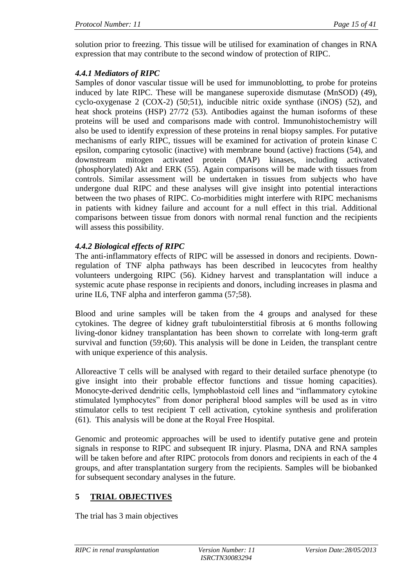solution prior to freezing. This tissue will be utilised for examination of changes in RNA expression that may contribute to the second window of protection of RIPC.

## *4.4.1 Mediators of RIPC*

Samples of donor vascular tissue will be used for immunoblotting, to probe for proteins induced by late RIPC. These will be manganese superoxide dismutase (MnSOD) (49), cyclo-oxygenase 2 (COX-2) (50;51), inducible nitric oxide synthase (iNOS) (52), and heat shock proteins (HSP) 27/72 (53). Antibodies against the human isoforms of these proteins will be used and comparisons made with control. Immunohistochemistry will also be used to identify expression of these proteins in renal biopsy samples. For putative mechanisms of early RIPC, tissues will be examined for activation of protein kinase C epsilon, comparing cytosolic (inactive) with membrane bound (active) fractions (54), and downstream mitogen activated protein (MAP) kinases, including activated (phosphorylated) Akt and ERK (55). Again comparisons will be made with tissues from controls. Similar assessment will be undertaken in tissues from subjects who have undergone dual RIPC and these analyses will give insight into potential interactions between the two phases of RIPC. Co-morbidities might interfere with RIPC mechanisms in patients with kidney failure and account for a null effect in this trial. Additional comparisons between tissue from donors with normal renal function and the recipients will assess this possibility.

# *4.4.2 Biological effects of RIPC*

The anti-inflammatory effects of RIPC will be assessed in donors and recipients. Downregulation of TNF alpha pathways has been described in leucocytes from healthy volunteers undergoing RIPC (56). Kidney harvest and transplantation will induce a systemic acute phase response in recipients and donors, including increases in plasma and urine IL6, TNF alpha and interferon gamma (57;58).

Blood and urine samples will be taken from the 4 groups and analysed for these cytokines. The degree of kidney graft tubulointerstitial fibrosis at 6 months following living-donor kidney transplantation has been shown to correlate with long-term graft survival and function (59;60). This analysis will be done in Leiden, the transplant centre with unique experience of this analysis.

Alloreactive T cells will be analysed with regard to their detailed surface phenotype (to give insight into their probable effector functions and tissue homing capacities). Monocyte-derived dendritic cells, lymphoblastoid cell lines and "inflammatory cytokine stimulated lymphocytes" from donor peripheral blood samples will be used as in vitro stimulator cells to test recipient T cell activation, cytokine synthesis and proliferation (61). This analysis will be done at the Royal Free Hospital.

Genomic and proteomic approaches will be used to identify putative gene and protein signals in response to RIPC and subsequent IR injury. Plasma, DNA and RNA samples will be taken before and after RIPC protocols from donors and recipients in each of the 4 groups, and after transplantation surgery from the recipients. Samples will be biobanked for subsequent secondary analyses in the future.

# **5 TRIAL OBJECTIVES**

The trial has 3 main objectives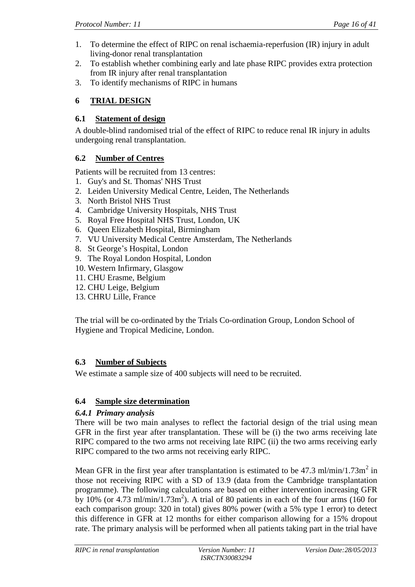- 1. To determine the effect of RIPC on renal ischaemia-reperfusion (IR) injury in adult living-donor renal transplantation
- 2. To establish whether combining early and late phase RIPC provides extra protection from IR injury after renal transplantation
- 3. To identify mechanisms of RIPC in humans

# **6 TRIAL DESIGN**

## **6.1 Statement of design**

A double-blind randomised trial of the effect of RIPC to reduce renal IR injury in adults undergoing renal transplantation.

# **6.2 Number of Centres**

Patients will be recruited from 13 centres:

- 1. Guy's and St. Thomas' NHS Trust
- 2. Leiden University Medical Centre, Leiden, The Netherlands
- 3. North Bristol NHS Trust
- 4. Cambridge University Hospitals, NHS Trust
- 5. Royal Free Hospital NHS Trust, London, UK
- 6. Queen Elizabeth Hospital, Birmingham
- 7. VU University Medical Centre Amsterdam, The Netherlands
- 8. St George's Hospital, London
- 9. The Royal London Hospital, London
- 10. Western Infirmary, Glasgow
- 11. CHU Erasme, Belgium
- 12. CHU Leige, Belgium
- 13. CHRU Lille, France

The trial will be co-ordinated by the Trials Co-ordination Group, London School of Hygiene and Tropical Medicine, London.

# **6.3 Number of Subjects**

We estimate a sample size of 400 subjects will need to be recruited.

# **6.4 Sample size determination**

## *6.4.1 Primary analysis*

There will be two main analyses to reflect the factorial design of the trial using mean GFR in the first year after transplantation. These will be (i) the two arms receiving late RIPC compared to the two arms not receiving late RIPC (ii) the two arms receiving early RIPC compared to the two arms not receiving early RIPC.

Mean GFR in the first year after transplantation is estimated to be  $47.3 \text{ ml/min}/1.73 \text{ m}^2$  in those not receiving RIPC with a SD of 13.9 (data from the Cambridge transplantation programme). The following calculations are based on either intervention increasing GFR by 10% (or 4.73 ml/min/1.73m<sup>2</sup>). A trial of 80 patients in each of the four arms (160 for each comparison group: 320 in total) gives 80% power (with a 5% type 1 error) to detect this difference in GFR at 12 months for either comparison allowing for a 15% dropout rate. The primary analysis will be performed when all patients taking part in the trial have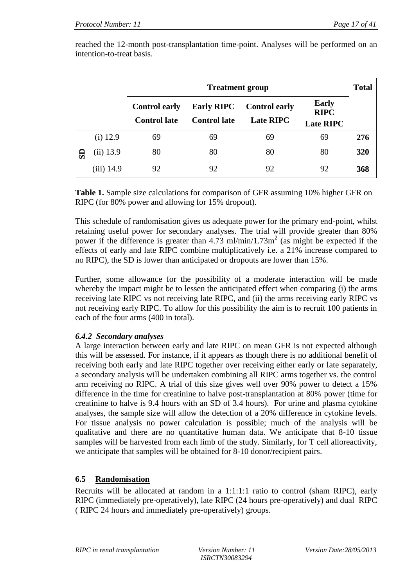reached the 12-month post-transplantation time-point. Analyses will be performed on an intention-to-treat basis.

|    |              | <b>Total</b><br><b>Treatment group</b>      |                                          |                                          |                                                 |     |  |  |  |  |  |  |
|----|--------------|---------------------------------------------|------------------------------------------|------------------------------------------|-------------------------------------------------|-----|--|--|--|--|--|--|
|    |              | <b>Control early</b><br><b>Control late</b> | <b>Early RIPC</b><br><b>Control late</b> | <b>Control early</b><br><b>Late RIPC</b> | <b>Early</b><br><b>RIPC</b><br><b>Late RIPC</b> |     |  |  |  |  |  |  |
|    | $(i)$ 12.9   | 69                                          | 69                                       | 69                                       | 69                                              | 276 |  |  |  |  |  |  |
| SD | (ii) 13.9    | 80                                          | 80                                       | 80                                       | 80                                              | 320 |  |  |  |  |  |  |
|    | $(iii)$ 14.9 | 92                                          | 92                                       | 92                                       | 92                                              | 368 |  |  |  |  |  |  |

**Table 1.** Sample size calculations for comparison of GFR assuming 10% higher GFR on RIPC (for 80% power and allowing for 15% dropout).

This schedule of randomisation gives us adequate power for the primary end-point, whilst retaining useful power for secondary analyses. The trial will provide greater than 80% power if the difference is greater than  $4.73 \text{ ml/min}/1.73 \text{ m}^2$  (as might be expected if the effects of early and late RIPC combine multiplicatively i.e. a 21% increase compared to no RIPC), the SD is lower than anticipated or dropouts are lower than 15%.

Further, some allowance for the possibility of a moderate interaction will be made whereby the impact might be to lessen the anticipated effect when comparing (i) the arms receiving late RIPC vs not receiving late RIPC, and (ii) the arms receiving early RIPC vs not receiving early RIPC. To allow for this possibility the aim is to recruit 100 patients in each of the four arms (400 in total).

## *6.4.2 Secondary analyses*

A large interaction between early and late RIPC on mean GFR is not expected although this will be assessed. For instance, if it appears as though there is no additional benefit of receiving both early and late RIPC together over receiving either early or late separately, a secondary analysis will be undertaken combining all RIPC arms together vs. the control arm receiving no RIPC. A trial of this size gives well over 90% power to detect a 15% difference in the time for creatinine to halve post-transplantation at 80% power (time for creatinine to halve is 9.4 hours with an SD of 3.4 hours). For urine and plasma cytokine analyses, the sample size will allow the detection of a 20% difference in cytokine levels. For tissue analysis no power calculation is possible; much of the analysis will be qualitative and there are no quantitative human data. We anticipate that 8-10 tissue samples will be harvested from each limb of the study. Similarly, for T cell alloreactivity, we anticipate that samples will be obtained for 8-10 donor/recipient pairs.

## **6.5 Randomisation**

Recruits will be allocated at random in a 1:1:1:1 ratio to control (sham RIPC), early RIPC (immediately pre-operatively), late RIPC (24 hours pre-operatively) and dual RIPC ( RIPC 24 hours and immediately pre-operatively) groups.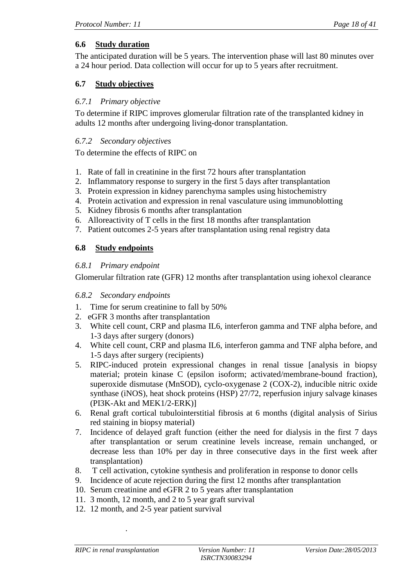# **6.6 Study duration**

The anticipated duration will be 5 years. The intervention phase will last 80 minutes over a 24 hour period. Data collection will occur for up to 5 years after recruitment.

## **6.7 Study objectives**

## *6.7.1 Primary objective*

To determine if RIPC improves glomerular filtration rate of the transplanted kidney in adults 12 months after undergoing living-donor transplantation.

## *6.7.2 Secondary objectives*

To determine the effects of RIPC on

- 1. Rate of fall in creatinine in the first 72 hours after transplantation
- 2. Inflammatory response to surgery in the first 5 days after transplantation
- 3. Protein expression in kidney parenchyma samples using histochemistry
- 4. Protein activation and expression in renal vasculature using immunoblotting
- 5. Kidney fibrosis 6 months after transplantation
- 6. Alloreactivity of T cells in the first 18 months after transplantation
- 7. Patient outcomes 2-5 years after transplantation using renal registry data

# **6.8 Study endpoints**

## *6.8.1 Primary endpoint*

Glomerular filtration rate (GFR) 12 months after transplantation using iohexol clearance

## *6.8.2 Secondary endpoints*

- 1. Time for serum creatinine to fall by 50%
- 2. eGFR 3 months after transplantation
- 3. White cell count, CRP and plasma IL6, interferon gamma and TNF alpha before, and 1-3 days after surgery (donors)
- 4. White cell count, CRP and plasma IL6, interferon gamma and TNF alpha before, and 1-5 days after surgery (recipients)
- 5. RIPC-induced protein expressional changes in renal tissue [analysis in biopsy material; protein kinase C (epsilon isoform; activated/membrane-bound fraction), superoxide dismutase (MnSOD), cyclo-oxygenase 2 (COX-2), inducible nitric oxide synthase (iNOS), heat shock proteins (HSP) 27/72, reperfusion injury salvage kinases (PI3K-Akt and MEK1/2-ERK)]
- 6. Renal graft cortical tubulointerstitial fibrosis at 6 months (digital analysis of Sirius red staining in biopsy material)
- 7. Incidence of delayed graft function (either the need for dialysis in the first 7 days after transplantation or serum creatinine levels increase, remain unchanged, or decrease less than 10% per day in three consecutive days in the first week after transplantation)
- 8. T cell activation, cytokine synthesis and proliferation in response to donor cells
- 9. Incidence of acute rejection during the first 12 months after transplantation
- 10. Serum creatinine and eGFR 2 to 5 years after transplantation
- 11. 3 month, 12 month, and 2 to 5 year graft survival
- 12. 12 month, and 2-5 year patient survival

.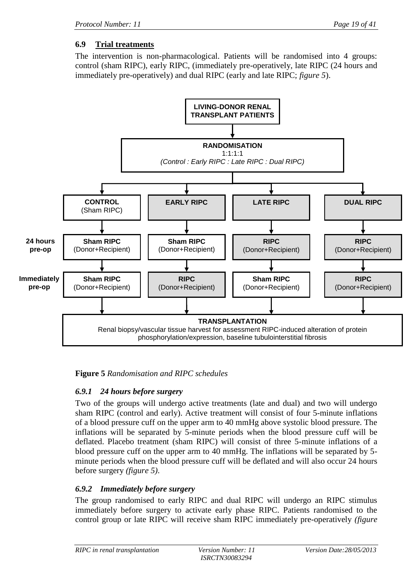# **6.9 Trial treatments**

The intervention is non-pharmacological. Patients will be randomised into 4 groups: control (sham RIPC), early RIPC, (immediately pre-operatively, late RIPC (24 hours and immediately pre-operatively) and dual RIPC (early and late RIPC; *figure 5*).



**Figure 5** *Randomisation and RIPC schedules*

## *6.9.1 24 hours before surgery*

Two of the groups will undergo active treatments (late and dual) and two will undergo sham RIPC (control and early). Active treatment will consist of four 5-minute inflations of a blood pressure cuff on the upper arm to 40 mmHg above systolic blood pressure. The inflations will be separated by 5-minute periods when the blood pressure cuff will be deflated. Placebo treatment (sham RIPC) will consist of three 5-minute inflations of a blood pressure cuff on the upper arm to 40 mmHg. The inflations will be separated by 5 minute periods when the blood pressure cuff will be deflated and will also occur 24 hours before surgery *(figure 5)*.

# *6.9.2 Immediately before surgery*

The group randomised to early RIPC and dual RIPC will undergo an RIPC stimulus immediately before surgery to activate early phase RIPC. Patients randomised to the control group or late RIPC will receive sham RIPC immediately pre-operatively *(figure*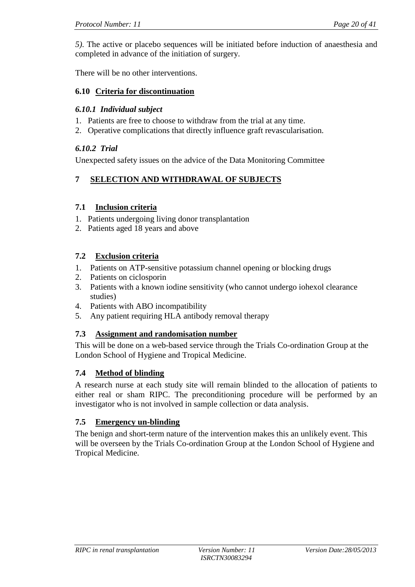*5)*. The active or placebo sequences will be initiated before induction of anaesthesia and completed in advance of the initiation of surgery.

There will be no other interventions.

### **6.10 Criteria for discontinuation**

### *6.10.1 Individual subject*

- 1. Patients are free to choose to withdraw from the trial at any time.
- 2. Operative complications that directly influence graft revascularisation.

## *6.10.2 Trial*

Unexpected safety issues on the advice of the Data Monitoring Committee

# **7 SELECTION AND WITHDRAWAL OF SUBJECTS**

### **7.1 Inclusion criteria**

- 1. Patients undergoing living donor transplantation
- 2. Patients aged 18 years and above

## **7.2 Exclusion criteria**

- 1. Patients on ATP-sensitive potassium channel opening or blocking drugs
- 2. Patients on ciclosporin
- 3. Patients with a known iodine sensitivity (who cannot undergo iohexol clearance studies)
- 4. Patients with ABO incompatibility
- 5. Any patient requiring HLA antibody removal therapy

## **7.3 Assignment and randomisation number**

This will be done on a web-based service through the Trials Co-ordination Group at the London School of Hygiene and Tropical Medicine.

## **7.4 Method of blinding**

A research nurse at each study site will remain blinded to the allocation of patients to either real or sham RIPC. The preconditioning procedure will be performed by an investigator who is not involved in sample collection or data analysis.

## **7.5 Emergency un-blinding**

The benign and short-term nature of the intervention makes this an unlikely event. This will be overseen by the Trials Co-ordination Group at the London School of Hygiene and Tropical Medicine.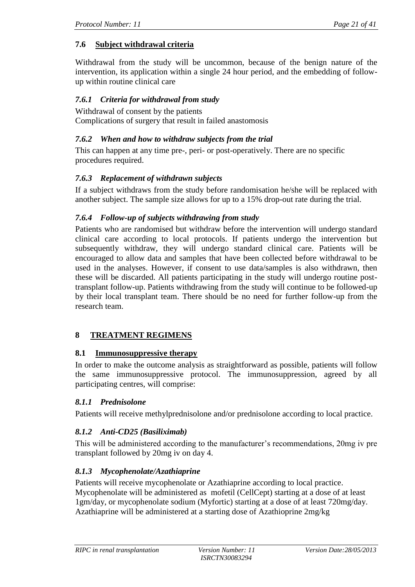## **7.6 Subject withdrawal criteria**

Withdrawal from the study will be uncommon, because of the benign nature of the intervention, its application within a single 24 hour period, and the embedding of followup within routine clinical care

### *7.6.1 Criteria for withdrawal from study*

Withdrawal of consent by the patients Complications of surgery that result in failed anastomosis

### *7.6.2 When and how to withdraw subjects from the trial*

This can happen at any time pre-, peri- or post-operatively. There are no specific procedures required.

### *7.6.3 Replacement of withdrawn subjects*

If a subject withdraws from the study before randomisation he/she will be replaced with another subject. The sample size allows for up to a 15% drop-out rate during the trial.

### *7.6.4 Follow-up of subjects withdrawing from study*

Patients who are randomised but withdraw before the intervention will undergo standard clinical care according to local protocols. If patients undergo the intervention but subsequently withdraw, they will undergo standard clinical care. Patients will be encouraged to allow data and samples that have been collected before withdrawal to be used in the analyses. However, if consent to use data/samples is also withdrawn, then these will be discarded. All patients participating in the study will undergo routine posttransplant follow-up. Patients withdrawing from the study will continue to be followed-up by their local transplant team. There should be no need for further follow-up from the research team.

### **8 TREATMENT REGIMENS**

### **8.1 Immunosuppressive therapy**

In order to make the outcome analysis as straightforward as possible, patients will follow the same immunosuppressive protocol. The immunosuppression, agreed by all participating centres, will comprise:

### *8.1.1 Prednisolone*

Patients will receive methylprednisolone and/or prednisolone according to local practice.

### *8.1.2 Anti-CD25 (Basiliximab)*

This will be administered according to the manufacturer's recommendations, 20mg iv pre transplant followed by 20mg iv on day 4.

## *8.1.3 Mycophenolate/Azathiaprine*

Patients will receive mycophenolate or Azathiaprine according to local practice. Mycophenolate will be administered as mofetil (CellCept) starting at a dose of at least 1gm/day, or mycophenolate sodium (Myfortic) starting at a dose of at least 720mg/day. Azathiaprine will be administered at a starting dose of Azathioprine 2mg/kg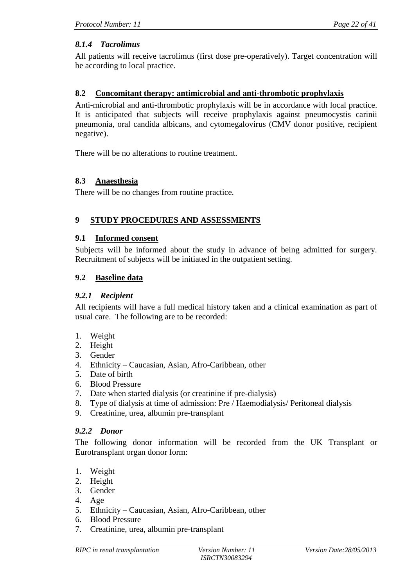## *8.1.4 Tacrolimus*

All patients will receive tacrolimus (first dose pre-operatively). Target concentration will be according to local practice.

### **8.2 Concomitant therapy: antimicrobial and anti-thrombotic prophylaxis**

Anti-microbial and anti-thrombotic prophylaxis will be in accordance with local practice. It is anticipated that subjects will receive prophylaxis against pneumocystis carinii pneumonia, oral candida albicans, and cytomegalovirus (CMV donor positive, recipient negative).

There will be no alterations to routine treatment.

### **8.3 Anaesthesia**

There will be no changes from routine practice.

### **9 STUDY PROCEDURES AND ASSESSMENTS**

#### **9.1 Informed consent**

Subjects will be informed about the study in advance of being admitted for surgery. Recruitment of subjects will be initiated in the outpatient setting.

### **9.2 Baseline data**

#### *9.2.1 Recipient*

All recipients will have a full medical history taken and a clinical examination as part of usual care. The following are to be recorded:

- 1. Weight
- 2. Height
- 3. Gender
- 4. Ethnicity Caucasian, Asian, Afro-Caribbean, other
- 5. Date of birth
- 6. Blood Pressure
- 7. Date when started dialysis (or creatinine if pre-dialysis)
- 8. Type of dialysis at time of admission: Pre / Haemodialysis/ Peritoneal dialysis
- 9. Creatinine, urea, albumin pre-transplant

### *9.2.2 Donor*

The following donor information will be recorded from the UK Transplant or Eurotransplant organ donor form:

- 1. Weight
- 2. Height
- 3. Gender
- 4. Age
- 5. Ethnicity Caucasian, Asian, Afro-Caribbean, other
- 6. Blood Pressure
- 7. Creatinine, urea, albumin pre-transplant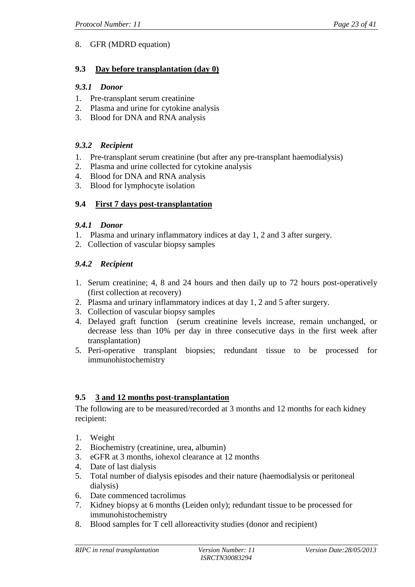## 8. GFR (MDRD equation)

### **9.3 Day before transplantation (day 0)**

### *9.3.1 Donor*

- 1. Pre-transplant serum creatinine
- 2. Plasma and urine for cytokine analysis
- 3. Blood for DNA and RNA analysis

## *9.3.2 Recipient*

- 1. Pre-transplant serum creatinine (but after any pre-transplant haemodialysis)
- 2. Plasma and urine collected for cytokine analysis
- 4. Blood for DNA and RNA analysis
- 3. Blood for lymphocyte isolation

## **9.4 First 7 days post-transplantation**

### *9.4.1 Donor*

- 1. Plasma and urinary inflammatory indices at day 1, 2 and 3 after surgery.
- 2. Collection of vascular biopsy samples

## *9.4.2 Recipient*

- 1. Serum creatinine; 4, 8 and 24 hours and then daily up to 72 hours post-operatively (first collection at recovery)
- 2. Plasma and urinary inflammatory indices at day 1, 2 and 5 after surgery.
- 3. Collection of vascular biopsy samples
- 4. Delayed graft function (serum creatinine levels increase, remain unchanged, or decrease less than 10% per day in three consecutive days in the first week after transplantation)
- 5. Peri-operative transplant biopsies; redundant tissue to be processed for immunohistochemistry

### **9.5 3 and 12 months post-transplantation**

The following are to be measured/recorded at 3 months and 12 months for each kidney recipient:

- 1. Weight
- 2. Biochemistry (creatinine, urea, albumin)
- 3. eGFR at 3 months, iohexol clearance at 12 months
- 4. Date of last dialysis
- 5. Total number of dialysis episodes and their nature (haemodialysis or peritoneal dialysis)
- 6. Date commenced tacrolimus
- 7. Kidney biopsy at 6 months (Leiden only); redundant tissue to be processed for immunohistochemistry
- 8. Blood samples for T cell alloreactivity studies (donor and recipient)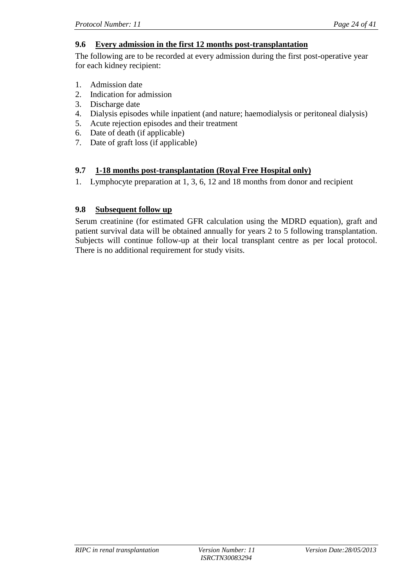### **9.6 Every admission in the first 12 months post-transplantation**

The following are to be recorded at every admission during the first post-operative year for each kidney recipient:

- 1. Admission date
- 2. Indication for admission
- 3. Discharge date
- 4. Dialysis episodes while inpatient (and nature; haemodialysis or peritoneal dialysis)
- 5. Acute rejection episodes and their treatment
- 6. Date of death (if applicable)
- 7. Date of graft loss (if applicable)

### **9.7 1-18 months post-transplantation (Royal Free Hospital only)**

1. Lymphocyte preparation at 1, 3, 6, 12 and 18 months from donor and recipient

### **9.8 Subsequent follow up**

Serum creatinine (for estimated GFR calculation using the MDRD equation), graft and patient survival data will be obtained annually for years 2 to 5 following transplantation. Subjects will continue follow-up at their local transplant centre as per local protocol. There is no additional requirement for study visits.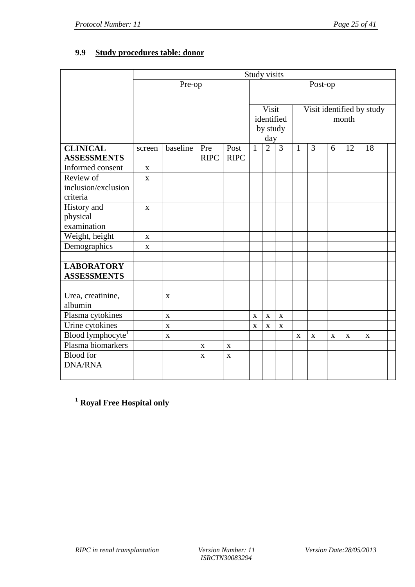# **9.9 Study procedures table: donor**

|                               | Study visits |              |             |                            |              |                           |                |                                    |             |             |             |             |  |  |  |
|-------------------------------|--------------|--------------|-------------|----------------------------|--------------|---------------------------|----------------|------------------------------------|-------------|-------------|-------------|-------------|--|--|--|
|                               |              | Post-op      |             |                            |              |                           |                |                                    |             |             |             |             |  |  |  |
|                               |              |              |             |                            |              |                           |                |                                    |             |             |             |             |  |  |  |
|                               |              |              |             | Visit                      |              | Visit identified by study |                |                                    |             |             |             |             |  |  |  |
|                               |              |              |             |                            |              |                           | identified     | month                              |             |             |             |             |  |  |  |
|                               |              |              |             |                            | by study     |                           |                |                                    |             |             |             |             |  |  |  |
|                               |              |              |             |                            |              | day                       |                |                                    |             |             |             |             |  |  |  |
| <b>CLINICAL</b>               | screen       | baseline     | Pre         | Post                       | $\mathbf{1}$ | $\overline{2}$            | $\overline{3}$ | 3<br>$\mathbf{1}$<br>6<br>12<br>18 |             |             |             |             |  |  |  |
| <b>ASSESSMENTS</b>            |              |              | <b>RIPC</b> | <b>RIPC</b>                |              |                           |                |                                    |             |             |             |             |  |  |  |
| Informed consent              | $\mathbf X$  |              |             |                            |              |                           |                |                                    |             |             |             |             |  |  |  |
| Review of                     | $\mathbf{x}$ |              |             |                            |              |                           |                |                                    |             |             |             |             |  |  |  |
| inclusion/exclusion           |              |              |             |                            |              |                           |                |                                    |             |             |             |             |  |  |  |
| criteria                      |              |              |             |                            |              |                           |                |                                    |             |             |             |             |  |  |  |
| History and                   | $\mathbf{x}$ |              |             |                            |              |                           |                |                                    |             |             |             |             |  |  |  |
| physical                      |              |              |             |                            |              |                           |                |                                    |             |             |             |             |  |  |  |
| examination                   |              |              |             |                            |              |                           |                |                                    |             |             |             |             |  |  |  |
| Weight, height                | $\mathbf X$  |              |             |                            |              |                           |                |                                    |             |             |             |             |  |  |  |
| Demographics                  | $\bf{X}$     |              |             |                            |              |                           |                |                                    |             |             |             |             |  |  |  |
|                               |              |              |             |                            |              |                           |                |                                    |             |             |             |             |  |  |  |
| <b>LABORATORY</b>             |              |              |             |                            |              |                           |                |                                    |             |             |             |             |  |  |  |
| <b>ASSESSMENTS</b>            |              |              |             |                            |              |                           |                |                                    |             |             |             |             |  |  |  |
|                               |              |              |             |                            |              |                           |                |                                    |             |             |             |             |  |  |  |
| Urea, creatinine,<br>albumin  |              | $\mathbf{X}$ |             |                            |              |                           |                |                                    |             |             |             |             |  |  |  |
| Plasma cytokines              |              | $\mathbf X$  |             |                            | $\mathbf X$  | $\mathbf X$               | $\mathbf X$    |                                    |             |             |             |             |  |  |  |
| Urine cytokines               |              | $\mathbf X$  |             |                            |              | $\mathbf X$               | $\mathbf X$    |                                    |             |             |             |             |  |  |  |
| Blood lymphocyte <sup>1</sup> |              | $\mathbf X$  |             |                            | X            |                           |                | X                                  | $\mathbf X$ | $\mathbf X$ | $\mathbf X$ | $\mathbf X$ |  |  |  |
| Plasma biomarkers             |              |              |             |                            |              |                           |                |                                    |             |             |             |             |  |  |  |
| <b>Blood</b> for              |              |              | $\mathbf X$ | $\mathbf X$<br>$\mathbf X$ |              |                           |                |                                    |             |             |             |             |  |  |  |
| <b>DNA/RNA</b>                |              |              | X           |                            |              |                           |                |                                    |             |             |             |             |  |  |  |
|                               |              |              |             |                            |              |                           |                |                                    |             |             |             |             |  |  |  |
|                               |              |              |             |                            |              |                           |                |                                    |             |             |             |             |  |  |  |

**<sup>1</sup> Royal Free Hospital only**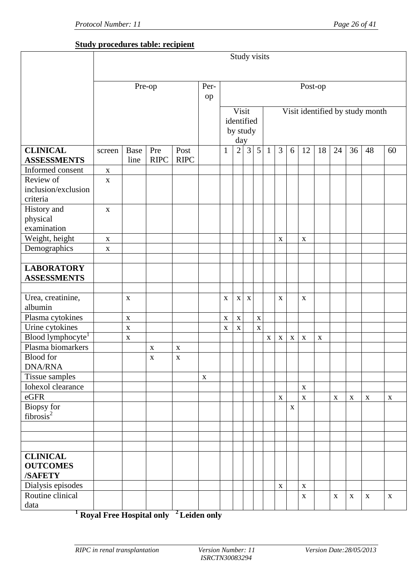## **Study procedures table: recipient**

|                                     | Study visits |             |             |             |             |              |                |                |                |                                 |              |             |              |             |             |             |             |             |  |
|-------------------------------------|--------------|-------------|-------------|-------------|-------------|--------------|----------------|----------------|----------------|---------------------------------|--------------|-------------|--------------|-------------|-------------|-------------|-------------|-------------|--|
|                                     |              |             |             |             |             |              |                |                |                |                                 |              |             |              |             |             |             |             |             |  |
|                                     | Pre-op       |             |             |             |             | Post-op      |                |                |                |                                 |              |             |              |             |             |             |             |             |  |
|                                     |              | op          |             |             |             |              |                |                |                |                                 |              |             |              |             |             |             |             |             |  |
|                                     |              |             |             |             |             |              | Visit          | identified     |                | Visit identified by study month |              |             |              |             |             |             |             |             |  |
|                                     |              |             |             |             |             |              |                | by study       |                |                                 |              |             |              |             |             |             |             |             |  |
|                                     |              |             |             | day         |             |              |                |                |                |                                 |              |             |              |             |             |             |             |             |  |
| <b>CLINICAL</b>                     | screen       | <b>Base</b> | Pre         | Post        |             | $\mathbf{1}$ | $\overline{2}$ | $\overline{3}$ | $\overline{5}$ | $\mathbf{1}$                    | 3            | 6           | 12           | 18          | 24          | 36          | 48          | 60          |  |
| <b>ASSESSMENTS</b>                  |              | line        | <b>RIPC</b> | <b>RIPC</b> |             |              |                |                |                |                                 |              |             |              |             |             |             |             |             |  |
| Informed consent                    | $\mathbf X$  |             |             |             |             |              |                |                |                |                                 |              |             |              |             |             |             |             |             |  |
| Review of                           | $\mathbf X$  |             |             |             |             |              |                |                |                |                                 |              |             |              |             |             |             |             |             |  |
| inclusion/exclusion                 |              |             |             |             |             |              |                |                |                |                                 |              |             |              |             |             |             |             |             |  |
| criteria                            |              |             |             |             |             |              |                |                |                |                                 |              |             |              |             |             |             |             |             |  |
| History and                         | $\mathbf X$  |             |             |             |             |              |                |                |                |                                 |              |             |              |             |             |             |             |             |  |
| physical                            |              |             |             |             |             |              |                |                |                |                                 |              |             |              |             |             |             |             |             |  |
| examination                         |              |             |             |             |             |              |                |                |                |                                 |              |             |              |             |             |             |             |             |  |
| Weight, height                      | $\mathbf X$  |             |             |             |             |              |                |                |                |                                 | $\mathbf X$  |             | $\mathbf X$  |             |             |             |             |             |  |
| Demographics                        | $\mathbf X$  |             |             |             |             |              |                |                |                |                                 |              |             |              |             |             |             |             |             |  |
| <b>LABORATORY</b>                   |              |             |             |             |             |              |                |                |                |                                 |              |             |              |             |             |             |             |             |  |
| <b>ASSESSMENTS</b>                  |              |             |             |             |             |              |                |                |                |                                 |              |             |              |             |             |             |             |             |  |
|                                     |              |             |             |             |             |              |                |                |                |                                 |              |             |              |             |             |             |             |             |  |
| Urea, creatinine,                   |              | $\mathbf X$ |             |             |             | X            | $\mathbf X$    | $\mathbf X$    |                |                                 | $\mathbf{X}$ |             | $\mathbf{X}$ |             |             |             |             |             |  |
| albumin                             |              |             |             |             |             |              |                |                |                |                                 |              |             |              |             |             |             |             |             |  |
| Plasma cytokines                    |              | $\mathbf X$ |             |             |             | X            | $\mathbf{X}$   |                | $\mathbf X$    |                                 |              |             |              |             |             |             |             |             |  |
| Urine cytokines                     |              | $\mathbf X$ |             |             |             | $\mathbf X$  | $\mathbf X$    |                | $\mathbf X$    |                                 |              |             |              |             |             |             |             |             |  |
| Blood lymphocyte                    |              | $\mathbf X$ |             |             |             |              |                |                |                | $\mathbf X$                     | $\mathbf X$  | $\mathbf X$ | $\mathbf X$  | $\mathbf X$ |             |             |             |             |  |
| Plasma biomarkers                   |              |             | $\mathbf X$ | $\mathbf X$ |             |              |                |                |                |                                 |              |             |              |             |             |             |             |             |  |
| <b>Blood</b> for                    |              |             | $\mathbf X$ | $\mathbf X$ |             |              |                |                |                |                                 |              |             |              |             |             |             |             |             |  |
| <b>DNA/RNA</b>                      |              |             |             |             |             |              |                |                |                |                                 |              |             |              |             |             |             |             |             |  |
| Tissue samples                      |              |             |             |             | $\mathbf X$ |              |                |                |                |                                 |              |             |              |             |             |             |             |             |  |
| Iohexol clearance                   |              |             |             |             |             |              |                |                |                |                                 |              |             | $\mathbf X$  |             |             |             |             |             |  |
| eGFR                                |              |             |             |             |             |              |                |                |                |                                 | $\mathbf X$  |             | $\mathbf X$  |             | $\mathbf X$ | $\mathbf X$ | $\mathbf X$ | $\mathbf X$ |  |
| Biopsy for<br>fibrosis <sup>2</sup> |              |             |             |             |             |              |                |                |                |                                 |              | $\mathbf X$ |              |             |             |             |             |             |  |
|                                     |              |             |             |             |             |              |                |                |                |                                 |              |             |              |             |             |             |             |             |  |
|                                     |              |             |             |             |             |              |                |                |                |                                 |              |             |              |             |             |             |             |             |  |
|                                     |              |             |             |             |             |              |                |                |                |                                 |              |             |              |             |             |             |             |             |  |
|                                     |              |             |             |             |             |              |                |                |                |                                 |              |             |              |             |             |             |             |             |  |
| <b>CLINICAL</b><br><b>OUTCOMES</b>  |              |             |             |             |             |              |                |                |                |                                 |              |             |              |             |             |             |             |             |  |
| /SAFETY                             |              |             |             |             |             |              |                |                |                |                                 |              |             |              |             |             |             |             |             |  |
| Dialysis episodes                   |              |             |             |             |             |              |                |                |                |                                 | $\mathbf X$  |             | $\mathbf X$  |             |             |             |             |             |  |
| Routine clinical                    |              |             |             |             |             |              |                |                |                |                                 |              |             | $\mathbf X$  |             | $\mathbf X$ | $\mathbf X$ | $\mathbf X$ | $\mathbf X$ |  |
| data                                |              |             |             |             |             |              |                |                |                |                                 |              |             |              |             |             |             |             |             |  |

**<sup>1</sup> Royal Free Hospital only <sup>2</sup>Leiden only**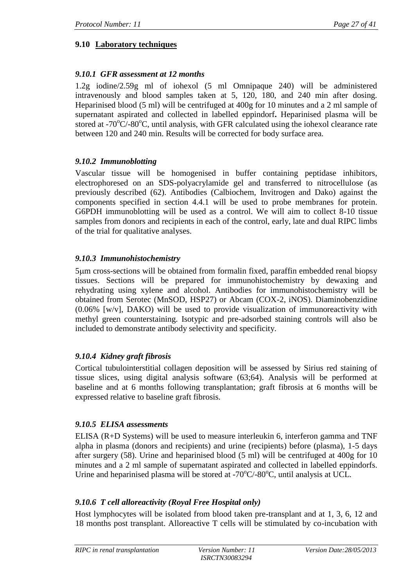## **9.10 Laboratory techniques**

## *9.10.1 GFR assessment at 12 months*

1.2g iodine/2.59g ml of iohexol (5 ml Omnipaque 240) will be administered intravenously and blood samples taken at 5, 120, 180, and 240 min after dosing. Heparinised blood (5 ml) will be centrifuged at 400g for 10 minutes and a 2 ml sample of supernatant aspirated and collected in labelled eppindorf**.** Heparinised plasma will be stored at  $-70^{\circ}$ C/-80 $^{\circ}$ C, until analysis, with GFR calculated using the iohexol clearance rate between 120 and 240 min. Results will be corrected for body surface area.

## *9.10.2 Immunoblotting*

Vascular tissue will be homogenised in buffer containing peptidase inhibitors, electrophoresed on an SDS-polyacrylamide gel and transferred to nitrocellulose (as previously described (62). Antibodies (Calbiochem, Invitrogen and Dako) against the components specified in section 4.4.1 will be used to probe membranes for protein. G6PDH immunoblotting will be used as a control. We will aim to collect 8-10 tissue samples from donors and recipients in each of the control, early, late and dual RIPC limbs of the trial for qualitative analyses.

# *9.10.3 Immunohistochemistry*

5m cross-sections will be obtained from formalin fixed, paraffin embedded renal biopsy tissues. Sections will be prepared for immunohistochemistry by dewaxing and rehydrating using xylene and alcohol. Antibodies for immunohistochemistry will be obtained from Serotec (MnSOD, HSP27) or Abcam (COX-2, iNOS). Diaminobenzidine (0.06% [w/v], DAKO) will be used to provide visualization of immunoreactivity with methyl green counterstaining. Isotypic and pre-adsorbed staining controls will also be included to demonstrate antibody selectivity and specificity.

## *9.10.4 Kidney graft fibrosis*

Cortical tubulointerstitial collagen deposition will be assessed by Sirius red staining of tissue slices, using digital analysis software (63;64). Analysis will be performed at baseline and at 6 months following transplantation; graft fibrosis at 6 months will be expressed relative to baseline graft fibrosis.

## *9.10.5 ELISA assessments*

ELISA (R+D Systems) will be used to measure interleukin 6, interferon gamma and TNF alpha in plasma (donors and recipients) and urine (recipients) before (plasma), 1-5 days after surgery (58). Urine and heparinised blood (5 ml) will be centrifuged at 400g for 10 minutes and a 2 ml sample of supernatant aspirated and collected in labelled eppindorfs. Urine and heparinised plasma will be stored at  $-70^{\circ}C/-80^{\circ}C$ , until analysis at UCL.

# *9.10.6 T cell alloreactivity (Royal Free Hospital only)*

Host lymphocytes will be isolated from blood taken pre-transplant and at 1, 3, 6, 12 and 18 months post transplant. Alloreactive T cells will be stimulated by co-incubation with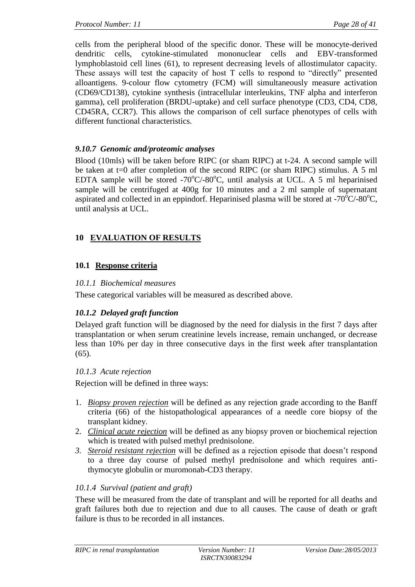cells from the peripheral blood of the specific donor. These will be monocyte-derived dendritic cells, cytokine-stimulated mononuclear cells and EBV-transformed lymphoblastoid cell lines (61), to represent decreasing levels of allostimulator capacity. These assays will test the capacity of host T cells to respond to "directly" presented alloantigens. 9-colour flow cytometry (FCM) will simultaneously measure activation (CD69/CD138), cytokine synthesis (intracellular interleukins, TNF alpha and interferon gamma), cell proliferation (BRDU-uptake) and cell surface phenotype (CD3, CD4, CD8, CD45RA, CCR7). This allows the comparison of cell surface phenotypes of cells with different functional characteristics.

### *9.10.7 Genomic and/proteomic analyses*

Blood (10mls) will be taken before RIPC (or sham RIPC) at t-24. A second sample will be taken at t=0 after completion of the second RIPC (or sham RIPC) stimulus. A 5 ml EDTA sample will be stored  $-70^{\circ}$ C/ $-80^{\circ}$ C, until analysis at UCL. A 5 ml heparinised sample will be centrifuged at 400g for 10 minutes and a 2 ml sample of supernatant aspirated and collected in an eppindorf. Heparinised plasma will be stored at  $-70^{\circ}$ C/-80 $^{\circ}$ C, until analysis at UCL.

# **10 EVALUATION OF RESULTS**

## **10.1 Response criteria**

### *10.1.1 Biochemical measures*

These categorical variables will be measured as described above.

## *10.1.2 Delayed graft function*

Delayed graft function will be diagnosed by the need for dialysis in the first 7 days after transplantation or when serum creatinine levels increase, remain unchanged, or decrease less than 10% per day in three consecutive days in the first week after transplantation  $(65)$ .

## *10.1.3 Acute rejection*

Rejection will be defined in three ways:

- 1. *Biopsy proven rejection* will be defined as any rejection grade according to the Banff criteria (66) of the histopathological appearances of a needle core biopsy of the transplant kidney.
- 2. *Clinical acute rejection* will be defined as any biopsy proven or biochemical rejection which is treated with pulsed methyl prednisolone.
- *3. Steroid resistant rejection* will be defined as a rejection episode that doesn't respond to a three day course of pulsed methyl prednisolone and which requires antithymocyte globulin or muromonab-CD3 therapy.

## *10.1.4 Survival (patient and graft)*

These will be measured from the date of transplant and will be reported for all deaths and graft failures both due to rejection and due to all causes. The cause of death or graft failure is thus to be recorded in all instances.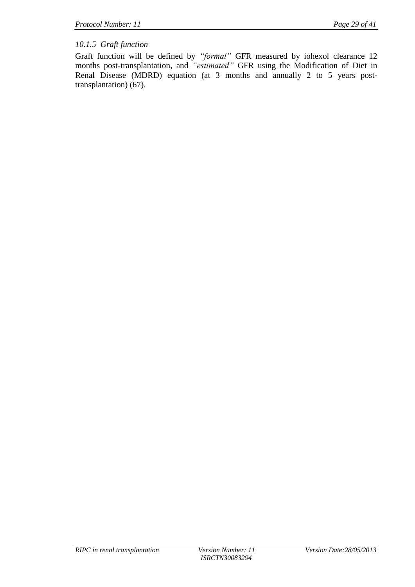## *10.1.5 Graft function*

Graft function will be defined by *"formal"* GFR measured by iohexol clearance 12 months post-transplantation, and *"estimated"* GFR using the Modification of Diet in Renal Disease (MDRD) equation (at 3 months and annually 2 to 5 years posttransplantation) (67).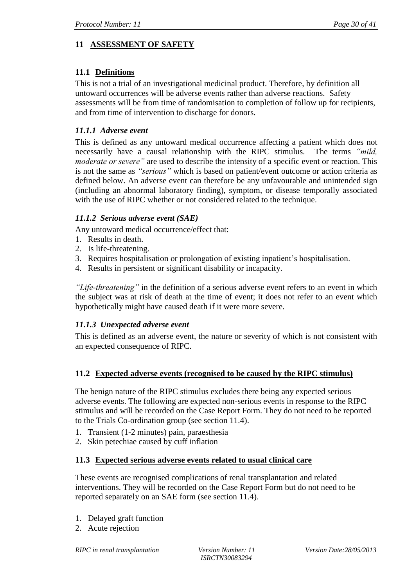# **11 ASSESSMENT OF SAFETY**

## **11.1 Definitions**

This is not a trial of an investigational medicinal product. Therefore, by definition all untoward occurrences will be adverse events rather than adverse reactions. Safety assessments will be from time of randomisation to completion of follow up for recipients, and from time of intervention to discharge for donors.

### *11.1.1 Adverse event*

This is defined as any untoward medical occurrence affecting a patient which does not necessarily have a causal relationship with the RIPC stimulus. The terms *"mild, moderate or severe"* are used to describe the intensity of a specific event or reaction. This is not the same as *"serious"* which is based on patient/event outcome or action criteria as defined below. An adverse event can therefore be any unfavourable and unintended sign (including an abnormal laboratory finding), symptom, or disease temporally associated with the use of RIPC whether or not considered related to the technique.

## *11.1.2 Serious adverse event (SAE)*

Any untoward medical occurrence/effect that:

- 1. Results in death.
- 2. Is life-threatening.
- 3. Requires hospitalisation or prolongation of existing inpatient's hospitalisation.
- 4. Results in persistent or significant disability or incapacity.

*"Life-threatening"* in the definition of a serious adverse event refers to an event in which the subject was at risk of death at the time of event; it does not refer to an event which hypothetically might have caused death if it were more severe.

## *11.1.3 Unexpected adverse event*

This is defined as an adverse event, the nature or severity of which is not consistent with an expected consequence of RIPC.

### **11.2 Expected adverse events (recognised to be caused by the RIPC stimulus)**

The benign nature of the RIPC stimulus excludes there being any expected serious adverse events. The following are expected non-serious events in response to the RIPC stimulus and will be recorded on the Case Report Form. They do not need to be reported to the Trials Co-ordination group (see section 11.4).

- 1. Transient (1-2 minutes) pain, paraesthesia
- 2. Skin petechiae caused by cuff inflation

### **11.3 Expected serious adverse events related to usual clinical care**

These events are recognised complications of renal transplantation and related interventions. They will be recorded on the Case Report Form but do not need to be reported separately on an SAE form (see section 11.4).

- 1. Delayed graft function
- 2. Acute rejection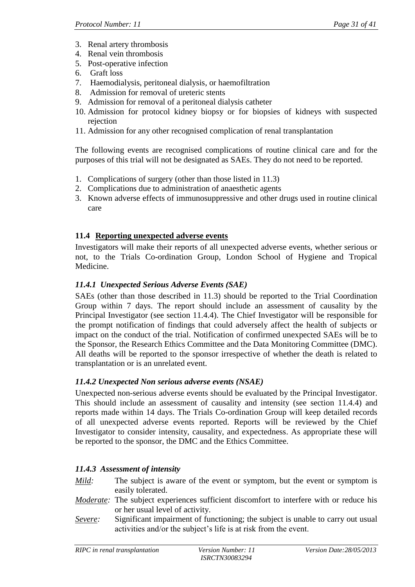- 3. Renal artery thrombosis
- 4. Renal vein thrombosis
- 5. Post-operative infection
- 6. Graft loss
- 7. Haemodialysis, peritoneal dialysis, or haemofiltration
- 8. Admission for removal of ureteric stents
- 9. Admission for removal of a peritoneal dialysis catheter
- 10. Admission for protocol kidney biopsy or for biopsies of kidneys with suspected rejection
- 11. Admission for any other recognised complication of renal transplantation

The following events are recognised complications of routine clinical care and for the purposes of this trial will not be designated as SAEs. They do not need to be reported.

- 1. Complications of surgery (other than those listed in 11.3)
- 2. Complications due to administration of anaesthetic agents
- 3. Known adverse effects of immunosuppressive and other drugs used in routine clinical care

# **11.4 Reporting unexpected adverse events**

Investigators will make their reports of all unexpected adverse events, whether serious or not, to the Trials Co-ordination Group, London School of Hygiene and Tropical Medicine.

# *11.4.1 Unexpected Serious Adverse Events (SAE)*

SAEs (other than those described in 11.3) should be reported to the Trial Coordination Group within 7 days. The report should include an assessment of causality by the Principal Investigator (see section 11.4.4). The Chief Investigator will be responsible for the prompt notification of findings that could adversely affect the health of subjects or impact on the conduct of the trial. Notification of confirmed unexpected SAEs will be to the Sponsor, the Research Ethics Committee and the Data Monitoring Committee (DMC). All deaths will be reported to the sponsor irrespective of whether the death is related to transplantation or is an unrelated event.

## *11.4.2 Unexpected Non serious adverse events (NSAE)*

Unexpected non-serious adverse events should be evaluated by the Principal Investigator. This should include an assessment of causality and intensity (see section 11.4.4) and reports made within 14 days. The Trials Co-ordination Group will keep detailed records of all unexpected adverse events reported. Reports will be reviewed by the Chief Investigator to consider intensity, causality, and expectedness. As appropriate these will be reported to the sponsor, the DMC and the Ethics Committee.

# *11.4.3 Assessment of intensity*

- *Mild:* The subject is aware of the event or symptom, but the event or symptom is easily tolerated.
- *Moderate:* The subject experiences sufficient discomfort to interfere with or reduce his or her usual level of activity.
- *Severe:* Significant impairment of functioning; the subject is unable to carry out usual activities and/or the subject's life is at risk from the event.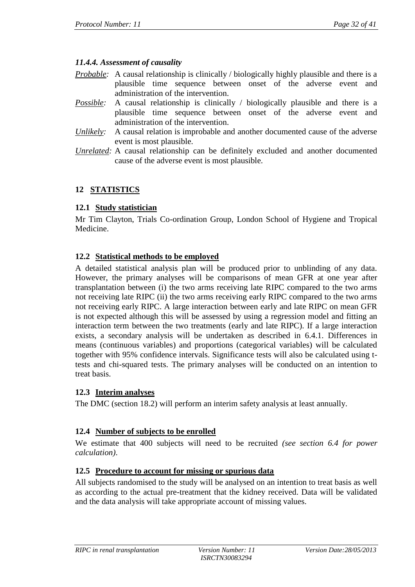## *11.4.4. Assessment of causality*

- *Probable:* A causal relationship is clinically */* biologically highly plausible and there is a plausible time sequence between onset of the adverse event and administration of the intervention.
- *Possible:* A causal relationship is clinically / biologically plausible and there is a plausible time sequence between onset of the adverse event and administration of the intervention.
- *Unlikely:* A causal relation is improbable and another documented cause of the adverse event is most plausible.
- *Unrelated:* A causal relationship can be definitely excluded and another documented cause of the adverse event is most plausible.

# **12 STATISTICS**

## **12.1 Study statistician**

Mr Tim Clayton, Trials Co-ordination Group, London School of Hygiene and Tropical Medicine.

# **12.2 Statistical methods to be employed**

A detailed statistical analysis plan will be produced prior to unblinding of any data. However, the primary analyses will be comparisons of mean GFR at one year after transplantation between (i) the two arms receiving late RIPC compared to the two arms not receiving late RIPC (ii) the two arms receiving early RIPC compared to the two arms not receiving early RIPC. A large interaction between early and late RIPC on mean GFR is not expected although this will be assessed by using a regression model and fitting an interaction term between the two treatments (early and late RIPC). If a large interaction exists, a secondary analysis will be undertaken as described in 6.4.1. Differences in means (continuous variables) and proportions (categorical variables) will be calculated together with 95% confidence intervals. Significance tests will also be calculated using ttests and chi-squared tests. The primary analyses will be conducted on an intention to treat basis.

## **12.3 Interim analyses**

The DMC (section 18.2) will perform an interim safety analysis at least annually.

## **12.4 Number of subjects to be enrolled**

We estimate that 400 subjects will need to be recruited *(see section 6.4 for power calculation)*.

# **12.5 Procedure to account for missing or spurious data**

All subjects randomised to the study will be analysed on an intention to treat basis as well as according to the actual pre-treatment that the kidney received. Data will be validated and the data analysis will take appropriate account of missing values.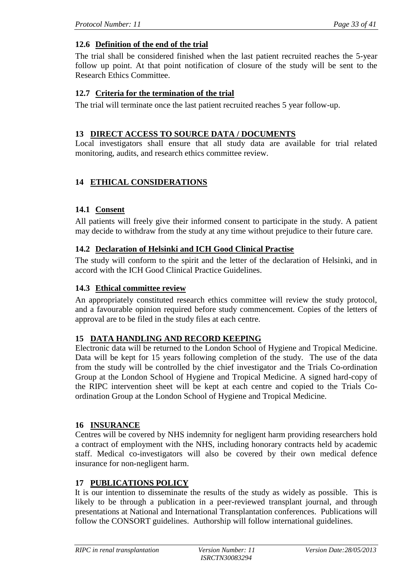## **12.6 Definition of the end of the trial**

The trial shall be considered finished when the last patient recruited reaches the 5-year follow up point. At that point notification of closure of the study will be sent to the Research Ethics Committee.

### **12.7 Criteria for the termination of the trial**

The trial will terminate once the last patient recruited reaches 5 year follow-up.

### **13 DIRECT ACCESS TO SOURCE DATA / DOCUMENTS**

Local investigators shall ensure that all study data are available for trial related monitoring, audits, and research ethics committee review.

# **14 ETHICAL CONSIDERATIONS**

### **14.1 Consent**

All patients will freely give their informed consent to participate in the study. A patient may decide to withdraw from the study at any time without prejudice to their future care.

### **14.2 Declaration of Helsinki and ICH Good Clinical Practise**

The study will conform to the spirit and the letter of the declaration of Helsinki, and in accord with the ICH Good Clinical Practice Guidelines.

### **14.3 Ethical committee review**

An appropriately constituted research ethics committee will review the study protocol, and a favourable opinion required before study commencement. Copies of the letters of approval are to be filed in the study files at each centre.

### **15 DATA HANDLING AND RECORD KEEPING**

Electronic data will be returned to the London School of Hygiene and Tropical Medicine. Data will be kept for 15 years following completion of the study. The use of the data from the study will be controlled by the chief investigator and the Trials Co-ordination Group at the London School of Hygiene and Tropical Medicine. A signed hard-copy of the RIPC intervention sheet will be kept at each centre and copied to the Trials Coordination Group at the London School of Hygiene and Tropical Medicine.

### **16 INSURANCE**

Centres will be covered by NHS indemnity for negligent harm providing researchers hold a contract of employment with the NHS, including honorary contracts held by academic staff. Medical co-investigators will also be covered by their own medical defence insurance for non-negligent harm.

### **17 PUBLICATIONS POLICY**

It is our intention to disseminate the results of the study as widely as possible. This is likely to be through a publication in a peer-reviewed transplant journal, and through presentations at National and International Transplantation conferences. Publications will follow the CONSORT guidelines. Authorship will follow international guidelines.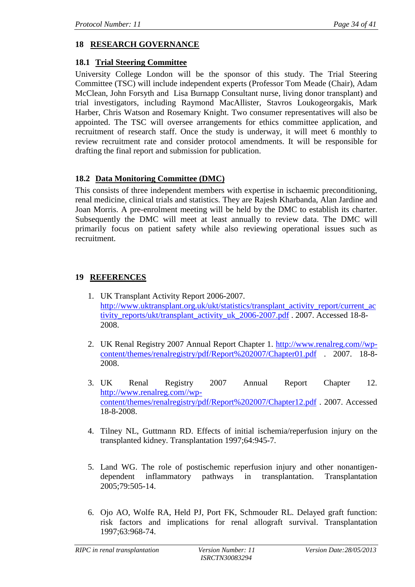# **18 RESEARCH GOVERNANCE**

### **18.1 Trial Steering Committee**

University College London will be the sponsor of this study. The Trial Steering Committee (TSC) will include independent experts (Professor Tom Meade (Chair), Adam McClean, John Forsyth and Lisa Burnapp Consultant nurse, living donor transplant) and trial investigators, including Raymond MacAllister, Stavros Loukogeorgakis, Mark Harber, Chris Watson and Rosemary Knight. Two consumer representatives will also be appointed. The TSC will oversee arrangements for ethics committee application, and recruitment of research staff. Once the study is underway, it will meet 6 monthly to review recruitment rate and consider protocol amendments. It will be responsible for drafting the final report and submission for publication.

## **18.2 Data Monitoring Committee (DMC)**

This consists of three independent members with expertise in ischaemic preconditioning, renal medicine, clinical trials and statistics. They are Rajesh Kharbanda, Alan Jardine and Joan Morris. A pre-enrolment meeting will be held by the DMC to establish its charter. Subsequently the DMC will meet at least annually to review data. The DMC will primarily focus on patient safety while also reviewing operational issues such as recruitment.

# **19 REFERENCES**

- 1. UK Transplant Activity Report 2006-2007. [http://www.uktransplant.org.uk/ukt/statistics/transplant\\_activity\\_report/current\\_ac](http://www.uktransplant.org.uk/ukt/statistics/transplant_activity_report/current_activity_reports/ukt/transplant_activity_uk_2006-2007.pdf) [tivity\\_reports/ukt/transplant\\_activity\\_uk\\_2006-2007.pdf](http://www.uktransplant.org.uk/ukt/statistics/transplant_activity_report/current_activity_reports/ukt/transplant_activity_uk_2006-2007.pdf) . 2007. Accessed 18-8- 2008.
- 2. UK Renal Registry 2007 Annual Report Chapter 1. [http://www.renalreg.com//wp](http://www.renalreg.com/wp-content/themes/renalregistry/pdf/Report%202007/Chapter01.pdf)[content/themes/renalregistry/pdf/Report%202007/Chapter01.pdf](http://www.renalreg.com/wp-content/themes/renalregistry/pdf/Report%202007/Chapter01.pdf) . 2007. 18-8- 2008.
- 3. UK Renal Registry 2007 Annual Report Chapter 12. [http://www.renalreg.com//wp](http://www.renalreg.com/wp-content/themes/renalregistry/pdf/Report%202007/Chapter12.pdf)[content/themes/renalregistry/pdf/Report%202007/Chapter12.pdf](http://www.renalreg.com/wp-content/themes/renalregistry/pdf/Report%202007/Chapter12.pdf) . 2007. Accessed 18-8-2008.
- 4. Tilney NL, Guttmann RD. Effects of initial ischemia/reperfusion injury on the transplanted kidney. Transplantation 1997;64:945-7.
- 5. Land WG. The role of postischemic reperfusion injury and other nonantigendependent inflammatory pathways in transplantation. Transplantation 2005;79:505-14.
- 6. Ojo AO, Wolfe RA, Held PJ, Port FK, Schmouder RL. Delayed graft function: risk factors and implications for renal allograft survival. Transplantation 1997;63:968-74.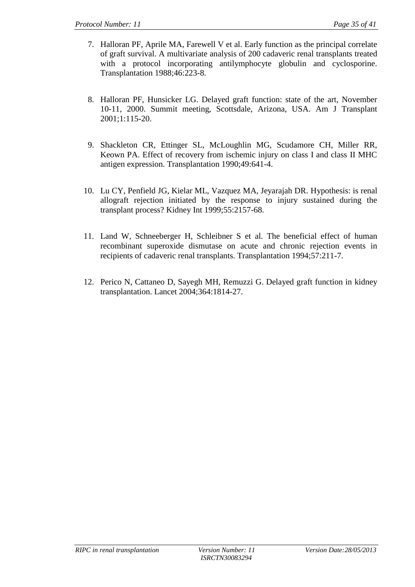- 7. Halloran PF, Aprile MA, Farewell V et al. Early function as the principal correlate of graft survival. A multivariate analysis of 200 cadaveric renal transplants treated with a protocol incorporating antilymphocyte globulin and cyclosporine. Transplantation 1988;46:223-8.
- 8. Halloran PF, Hunsicker LG. Delayed graft function: state of the art, November 10-11, 2000. Summit meeting, Scottsdale, Arizona, USA. Am J Transplant 2001;1:115-20.
- 9. Shackleton CR, Ettinger SL, McLoughlin MG, Scudamore CH, Miller RR, Keown PA. Effect of recovery from ischemic injury on class I and class II MHC antigen expression. Transplantation 1990;49:641-4.
- 10. Lu CY, Penfield JG, Kielar ML, Vazquez MA, Jeyarajah DR. Hypothesis: is renal allograft rejection initiated by the response to injury sustained during the transplant process? Kidney Int 1999;55:2157-68.
- 11. Land W, Schneeberger H, Schleibner S et al. The beneficial effect of human recombinant superoxide dismutase on acute and chronic rejection events in recipients of cadaveric renal transplants. Transplantation 1994;57:211-7.
- 12. Perico N, Cattaneo D, Sayegh MH, Remuzzi G. Delayed graft function in kidney transplantation. Lancet 2004;364:1814-27.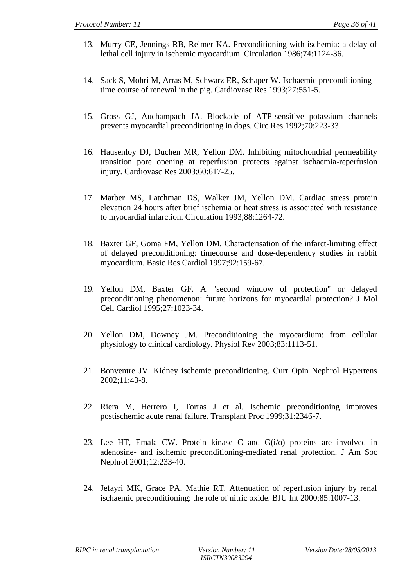- 13. Murry CE, Jennings RB, Reimer KA. Preconditioning with ischemia: a delay of lethal cell injury in ischemic myocardium. Circulation 1986;74:1124-36.
- 14. Sack S, Mohri M, Arras M, Schwarz ER, Schaper W. Ischaemic preconditioning- time course of renewal in the pig. Cardiovasc Res 1993;27:551-5.
- 15. Gross GJ, Auchampach JA. Blockade of ATP-sensitive potassium channels prevents myocardial preconditioning in dogs. Circ Res 1992;70:223-33.
- 16. Hausenloy DJ, Duchen MR, Yellon DM. Inhibiting mitochondrial permeability transition pore opening at reperfusion protects against ischaemia-reperfusion injury. Cardiovasc Res 2003;60:617-25.
- 17. Marber MS, Latchman DS, Walker JM, Yellon DM. Cardiac stress protein elevation 24 hours after brief ischemia or heat stress is associated with resistance to myocardial infarction. Circulation 1993;88:1264-72.
- 18. Baxter GF, Goma FM, Yellon DM. Characterisation of the infarct-limiting effect of delayed preconditioning: timecourse and dose-dependency studies in rabbit myocardium. Basic Res Cardiol 1997;92:159-67.
- 19. Yellon DM, Baxter GF. A "second window of protection" or delayed preconditioning phenomenon: future horizons for myocardial protection? J Mol Cell Cardiol 1995;27:1023-34.
- 20. Yellon DM, Downey JM. Preconditioning the myocardium: from cellular physiology to clinical cardiology. Physiol Rev 2003;83:1113-51.
- 21. Bonventre JV. Kidney ischemic preconditioning. Curr Opin Nephrol Hypertens 2002;11:43-8.
- 22. Riera M, Herrero I, Torras J et al. Ischemic preconditioning improves postischemic acute renal failure. Transplant Proc 1999;31:2346-7.
- 23. Lee HT, Emala CW. Protein kinase C and G(i/o) proteins are involved in adenosine- and ischemic preconditioning-mediated renal protection. J Am Soc Nephrol 2001;12:233-40.
- 24. Jefayri MK, Grace PA, Mathie RT. Attenuation of reperfusion injury by renal ischaemic preconditioning: the role of nitric oxide. BJU Int 2000;85:1007-13.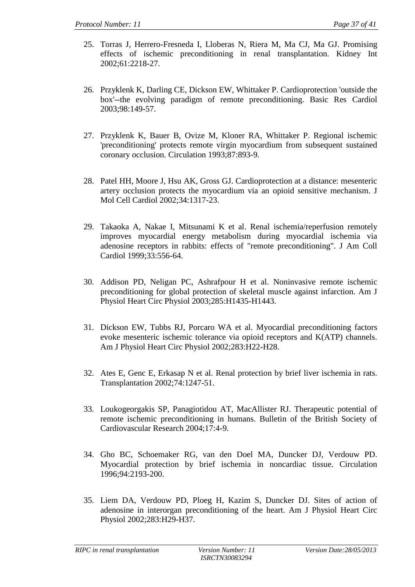- 25. Torras J, Herrero-Fresneda I, Lloberas N, Riera M, Ma CJ, Ma GJ. Promising effects of ischemic preconditioning in renal transplantation. Kidney Int 2002;61:2218-27.
- 26. Przyklenk K, Darling CE, Dickson EW, Whittaker P. Cardioprotection 'outside the box'--the evolving paradigm of remote preconditioning. Basic Res Cardiol 2003;98:149-57.
- 27. Przyklenk K, Bauer B, Ovize M, Kloner RA, Whittaker P. Regional ischemic 'preconditioning' protects remote virgin myocardium from subsequent sustained coronary occlusion. Circulation 1993;87:893-9.
- 28. Patel HH, Moore J, Hsu AK, Gross GJ. Cardioprotection at a distance: mesenteric artery occlusion protects the myocardium via an opioid sensitive mechanism. J Mol Cell Cardiol 2002;34:1317-23.
- 29. Takaoka A, Nakae I, Mitsunami K et al. Renal ischemia/reperfusion remotely improves myocardial energy metabolism during myocardial ischemia via adenosine receptors in rabbits: effects of "remote preconditioning". J Am Coll Cardiol 1999;33:556-64.
- 30. Addison PD, Neligan PC, Ashrafpour H et al. Noninvasive remote ischemic preconditioning for global protection of skeletal muscle against infarction. Am J Physiol Heart Circ Physiol 2003;285:H1435-H1443.
- 31. Dickson EW, Tubbs RJ, Porcaro WA et al. Myocardial preconditioning factors evoke mesenteric ischemic tolerance via opioid receptors and K(ATP) channels. Am J Physiol Heart Circ Physiol 2002;283:H22-H28.
- 32. Ates E, Genc E, Erkasap N et al. Renal protection by brief liver ischemia in rats. Transplantation 2002;74:1247-51.
- 33. Loukogeorgakis SP, Panagiotidou AT, MacAllister RJ. Therapeutic potential of remote ischemic preconditioning in humans. Bulletin of the British Society of Cardiovascular Research 2004;17:4-9.
- 34. Gho BC, Schoemaker RG, van den Doel MA, Duncker DJ, Verdouw PD. Myocardial protection by brief ischemia in noncardiac tissue. Circulation 1996;94:2193-200.
- 35. Liem DA, Verdouw PD, Ploeg H, Kazim S, Duncker DJ. Sites of action of adenosine in interorgan preconditioning of the heart. Am J Physiol Heart Circ Physiol 2002;283:H29-H37.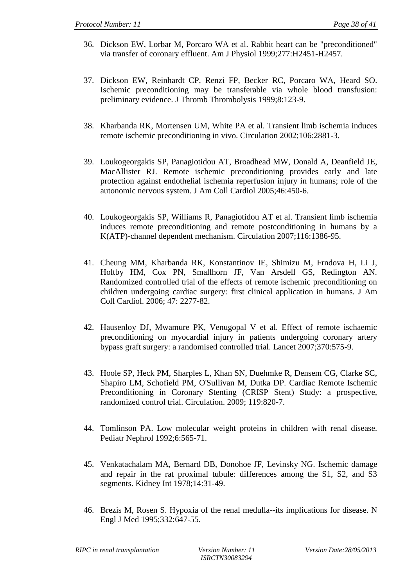- 36. Dickson EW, Lorbar M, Porcaro WA et al. Rabbit heart can be "preconditioned" via transfer of coronary effluent. Am J Physiol 1999;277:H2451-H2457.
- 37. Dickson EW, Reinhardt CP, Renzi FP, Becker RC, Porcaro WA, Heard SO. Ischemic preconditioning may be transferable via whole blood transfusion: preliminary evidence. J Thromb Thrombolysis 1999;8:123-9.
- 38. Kharbanda RK, Mortensen UM, White PA et al. Transient limb ischemia induces remote ischemic preconditioning in vivo. Circulation 2002;106:2881-3.
- 39. Loukogeorgakis SP, Panagiotidou AT, Broadhead MW, Donald A, Deanfield JE, MacAllister RJ. Remote ischemic preconditioning provides early and late protection against endothelial ischemia reperfusion injury in humans; role of the autonomic nervous system. J Am Coll Cardiol 2005;46:450-6.
- 40. Loukogeorgakis SP, Williams R, Panagiotidou AT et al. Transient limb ischemia induces remote preconditioning and remote postconditioning in humans by a K(ATP)-channel dependent mechanism. Circulation 2007;116:1386-95.
- 41. Cheung MM, Kharbanda RK, Konstantinov IE, Shimizu M, Frndova H, Li J, Holtby HM, Cox PN, Smallhorn JF, Van Arsdell GS, Redington AN. Randomized controlled trial of the effects of remote ischemic preconditioning on children undergoing cardiac surgery: first clinical application in humans. J Am Coll Cardiol. 2006; 47: 2277-82.
- 42. Hausenloy DJ, Mwamure PK, Venugopal V et al. Effect of remote ischaemic preconditioning on myocardial injury in patients undergoing coronary artery bypass graft surgery: a randomised controlled trial. Lancet 2007;370:575-9.
- 43. Hoole SP, Heck PM, Sharples L, Khan SN, Duehmke R, Densem CG, Clarke SC, Shapiro LM, Schofield PM, O'Sullivan M, Dutka DP. Cardiac Remote Ischemic Preconditioning in Coronary Stenting (CRISP Stent) Study: a prospective, randomized control trial. Circulation. 2009; 119:820-7.
- 44. Tomlinson PA. Low molecular weight proteins in children with renal disease. Pediatr Nephrol 1992;6:565-71.
- 45. Venkatachalam MA, Bernard DB, Donohoe JF, Levinsky NG. Ischemic damage and repair in the rat proximal tubule: differences among the S1, S2, and S3 segments. Kidney Int 1978;14:31-49.
- 46. Brezis M, Rosen S. Hypoxia of the renal medulla--its implications for disease. N Engl J Med 1995;332:647-55.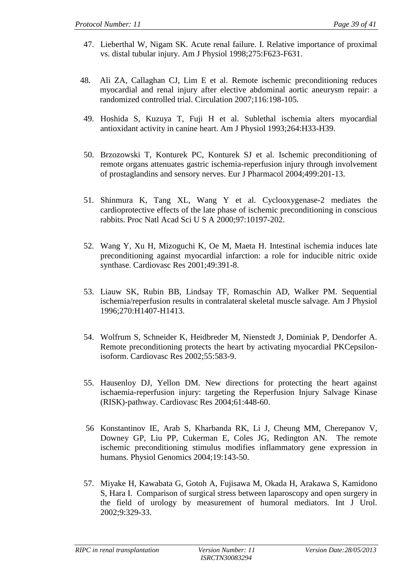- 47. Lieberthal W, Nigam SK. Acute renal failure. I. Relative importance of proximal vs. distal tubular injury. Am J Physiol 1998;275:F623-F631.
- 48. Ali ZA, Callaghan CJ, Lim E et al. Remote ischemic preconditioning reduces myocardial and renal injury after elective abdominal aortic aneurysm repair: a randomized controlled trial. Circulation 2007;116:198-105.
- 49. Hoshida S, Kuzuya T, Fuji H et al. Sublethal ischemia alters myocardial antioxidant activity in canine heart. Am J Physiol 1993;264:H33-H39.
- 50. Brzozowski T, Konturek PC, Konturek SJ et al. Ischemic preconditioning of remote organs attenuates gastric ischemia-reperfusion injury through involvement of prostaglandins and sensory nerves. Eur J Pharmacol 2004;499:201-13.
- 51. Shinmura K, Tang XL, Wang Y et al. Cyclooxygenase-2 mediates the cardioprotective effects of the late phase of ischemic preconditioning in conscious rabbits. Proc Natl Acad Sci U S A 2000;97:10197-202.
- 52. Wang Y, Xu H, Mizoguchi K, Oe M, Maeta H. Intestinal ischemia induces late preconditioning against myocardial infarction: a role for inducible nitric oxide synthase. Cardiovasc Res 2001;49:391-8.
- 53. Liauw SK, Rubin BB, Lindsay TF, Romaschin AD, Walker PM. Sequential ischemia/reperfusion results in contralateral skeletal muscle salvage. Am J Physiol 1996;270:H1407-H1413.
- 54. Wolfrum S, Schneider K, Heidbreder M, Nienstedt J, Dominiak P, Dendorfer A. Remote preconditioning protects the heart by activating myocardial PKCepsilonisoform. Cardiovasc Res 2002;55:583-9.
- 55. Hausenloy DJ, Yellon DM. New directions for protecting the heart against ischaemia-reperfusion injury: targeting the Reperfusion Injury Salvage Kinase (RISK)-pathway. Cardiovasc Res 2004;61:448-60.
- 56 Konstantinov IE, Arab S, Kharbanda RK, Li J, Cheung MM, Cherepanov V, Downey GP, Liu PP, Cukerman E, Coles JG, Redington AN. The remote ischemic preconditioning stimulus modifies inflammatory gene expression in humans. Physiol Genomics 2004;19:143-50.
- 57. Miyake H, Kawabata G, Gotoh A, Fujisawa M, Okada H, Arakawa S, Kamidono S, Hara I. Comparison of surgical stress between laparoscopy and open surgery in the field of urology by measurement of humoral mediators. Int J Urol. 2002;9:329-33.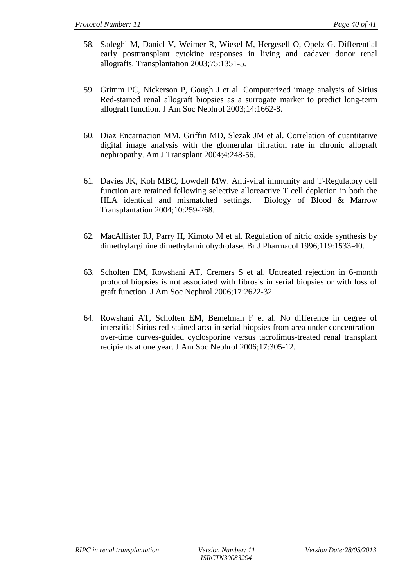- 58. Sadeghi M, Daniel V, Weimer R, Wiesel M, Hergesell O, Opelz G. Differential early posttransplant cytokine responses in living and cadaver donor renal allografts. Transplantation 2003;75:1351-5.
- 59. Grimm PC, Nickerson P, Gough J et al. Computerized image analysis of Sirius Red-stained renal allograft biopsies as a surrogate marker to predict long-term allograft function. J Am Soc Nephrol 2003;14:1662-8.
- 60. Diaz Encarnacion MM, Griffin MD, Slezak JM et al. Correlation of quantitative digital image analysis with the glomerular filtration rate in chronic allograft nephropathy. Am J Transplant 2004;4:248-56.
- 61. Davies JK, Koh MBC, Lowdell MW. Anti-viral immunity and T-Regulatory cell function are retained following selective alloreactive T cell depletion in both the HLA identical and mismatched settings. Biology of Blood & Marrow Transplantation 2004;10:259-268.
- 62. MacAllister RJ, Parry H, Kimoto M et al. Regulation of nitric oxide synthesis by dimethylarginine dimethylaminohydrolase. Br J Pharmacol 1996;119:1533-40.
- 63. Scholten EM, Rowshani AT, Cremers S et al. Untreated rejection in 6-month protocol biopsies is not associated with fibrosis in serial biopsies or with loss of graft function. J Am Soc Nephrol 2006;17:2622-32.
- 64. Rowshani AT, Scholten EM, Bemelman F et al. No difference in degree of interstitial Sirius red-stained area in serial biopsies from area under concentrationover-time curves-guided cyclosporine versus tacrolimus-treated renal transplant recipients at one year. J Am Soc Nephrol 2006;17:305-12.